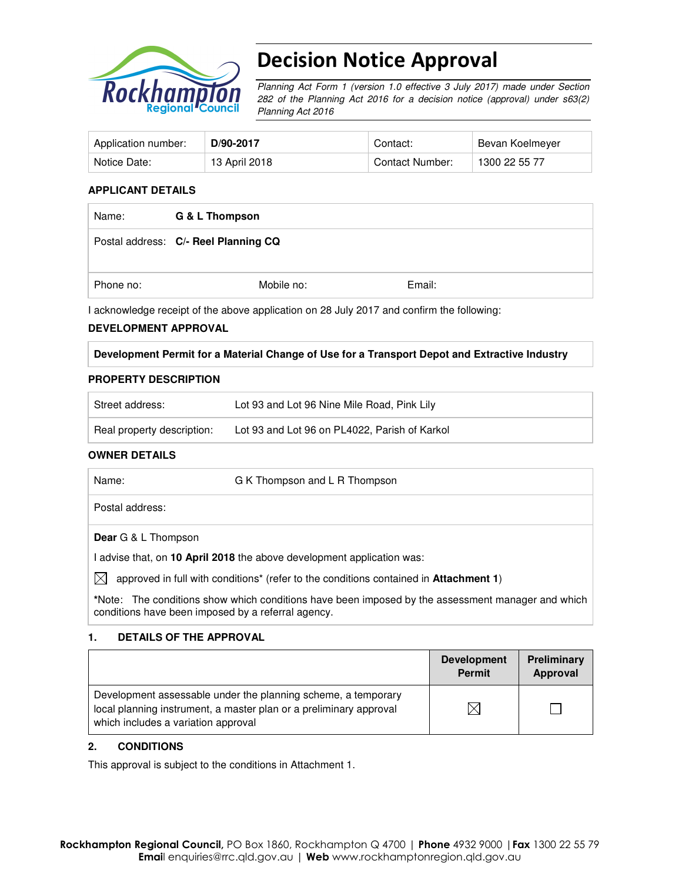

# Decision Notice Approval

Planning Act Form 1 (version 1.0 effective 3 July 2017) made under Section 282 of the Planning Act 2016 for a decision notice (approval) under s63(2) Planning Act 2016

| Application number: | D/90-2017     | Contact:        | Bevan Koelmeyer |
|---------------------|---------------|-----------------|-----------------|
| Notice Date:        | 13 April 2018 | Contact Number: | 1300 22 55 77   |

#### **APPLICANT DETAILS**

| Name:     | G & L Thompson                       |        |  |
|-----------|--------------------------------------|--------|--|
|           | Postal address: C/- Reel Planning CQ |        |  |
| Phone no: | Mobile no:                           | Email: |  |

I acknowledge receipt of the above application on 28 July 2017 and confirm the following:

#### **DEVELOPMENT APPROVAL**

#### **Development Permit for a Material Change of Use for a Transport Depot and Extractive Industry**

#### **PROPERTY DESCRIPTION**

| Street address:            | Lot 93 and Lot 96 Nine Mile Road, Pink Lily   |
|----------------------------|-----------------------------------------------|
| Real property description: | Lot 93 and Lot 96 on PL4022, Parish of Karkol |

#### **OWNER DETAILS**

| Name:                      | G K Thompson and L R Thompson                                                                             |
|----------------------------|-----------------------------------------------------------------------------------------------------------|
| Postal address:            |                                                                                                           |
| <b>Dear</b> G & L Thompson |                                                                                                           |
|                            | I advise that, on 10 April 2018 the above development application was:                                    |
| IXI                        | approved in full with conditions <sup>*</sup> (refer to the conditions contained in <b>Attachment 1</b> ) |
|                            | *Note: The conditions show which conditions have been imposed by the assessment manager and which         |

#### **1. DETAILS OF THE APPROVAL**

|                                                                                                                                                                            | <b>Development</b><br><b>Permit</b> | <b>Preliminary</b><br>Approval |
|----------------------------------------------------------------------------------------------------------------------------------------------------------------------------|-------------------------------------|--------------------------------|
| Development assessable under the planning scheme, a temporary<br>local planning instrument, a master plan or a preliminary approval<br>which includes a variation approval | $\times$                            |                                |

## **2. CONDITIONS**

This approval is subject to the conditions in Attachment 1.

conditions have been imposed by a referral agency.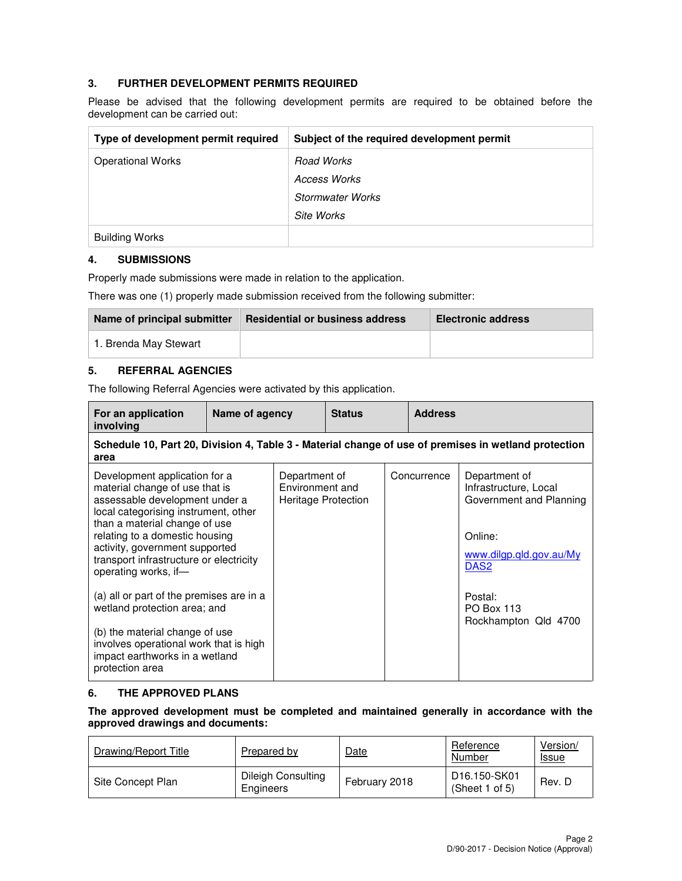# **3. FURTHER DEVELOPMENT PERMITS REQUIRED**

Please be advised that the following development permits are required to be obtained before the development can be carried out:

| Type of development permit required | Subject of the required development permit |
|-------------------------------------|--------------------------------------------|
| <b>Operational Works</b>            | <b>Road Works</b>                          |
|                                     | <b>Access Works</b>                        |
|                                     | <b>Stormwater Works</b>                    |
|                                     | Site Works                                 |
| <b>Building Works</b>               |                                            |

#### **4. SUBMISSIONS**

Properly made submissions were made in relation to the application.

There was one (1) properly made submission received from the following submitter:

| Name of principal submitter | <b>Residential or business address</b> | Electronic address |
|-----------------------------|----------------------------------------|--------------------|
| 1. Brenda May Stewart       |                                        |                    |

#### **5. REFERRAL AGENCIES**

The following Referral Agencies were activated by this application.

| For an application<br>involving                                                                                                                                                                                                                                                                                                                                                               | Name of agency |                                                         | <b>Status</b> | <b>Address</b> |                                                                                                                                                                                     |
|-----------------------------------------------------------------------------------------------------------------------------------------------------------------------------------------------------------------------------------------------------------------------------------------------------------------------------------------------------------------------------------------------|----------------|---------------------------------------------------------|---------------|----------------|-------------------------------------------------------------------------------------------------------------------------------------------------------------------------------------|
| area                                                                                                                                                                                                                                                                                                                                                                                          |                |                                                         |               |                | Schedule 10, Part 20, Division 4, Table 3 - Material change of use of premises in wetland protection                                                                                |
| Development application for a<br>material change of use that is<br>assessable development under a<br>local categorising instrument, other<br>than a material change of use<br>relating to a domestic housing<br>activity, government supported<br>transport infrastructure or electricity<br>operating works, if-<br>(a) all or part of the premises are in a<br>wetland protection area; and |                | Department of<br>Environment and<br>Heritage Protection |               | Concurrence    | Department of<br>Infrastructure, Local<br>Government and Planning<br>Online:<br>www.dilgp.qld.gov.au/My<br>DAS <sub>2</sub><br>Postal:<br><b>PO Box 113</b><br>Rockhampton Qld 4700 |
| (b) the material change of use<br>involves operational work that is high<br>impact earthworks in a wetland<br>protection area                                                                                                                                                                                                                                                                 |                |                                                         |               |                |                                                                                                                                                                                     |

#### **6. THE APPROVED PLANS**

#### **The approved development must be completed and maintained generally in accordance with the approved drawings and documents:**

| Drawing/Report Title | Prepared by                     | Date          | Reference<br>Number                         | Version/<br>Issue |
|----------------------|---------------------------------|---------------|---------------------------------------------|-------------------|
| Site Concept Plan    | Dileigh Consulting<br>Engineers | February 2018 | D <sub>16.150</sub> -SK01<br>(Sheet 1 of 5) | Rev. D            |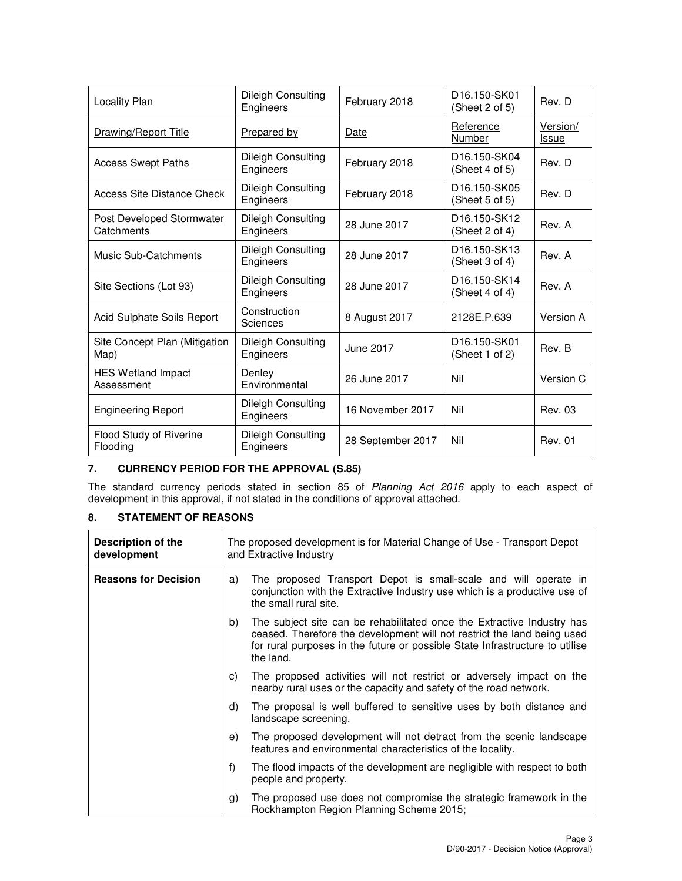| Locality Plan                              | Dileigh Consulting<br>Engineers | February 2018     | D <sub>16.150</sub> -SK01<br>(Sheet 2 of 5)             | Rev. D                   |
|--------------------------------------------|---------------------------------|-------------------|---------------------------------------------------------|--------------------------|
| Drawing/Report Title                       | <b>Prepared by</b>              | Date              | Reference<br>Number                                     | Version/<br><b>Issue</b> |
| <b>Access Swept Paths</b>                  | Dileigh Consulting<br>Engineers | February 2018     | D <sub>16.150</sub> -SK04<br>(Sheet 4 of 5)             | Rev. D                   |
| <b>Access Site Distance Check</b>          | Dileigh Consulting<br>Engineers | February 2018     | D16.150-SK05<br>(Sheet 5 of 5)                          | Rev. D                   |
| Post Developed Stormwater<br>Catchments    | Dileigh Consulting<br>Engineers | 28 June 2017      | D16.150-SK12<br>(Sheet 2 of 4)                          | Rev. A                   |
| Music Sub-Catchments                       | Dileigh Consulting<br>Engineers | 28 June 2017      | D <sub>16.150</sub> -SK <sub>13</sub><br>(Sheet 3 of 4) | Rev. A                   |
| Site Sections (Lot 93)                     | Dileigh Consulting<br>Engineers | 28 June 2017      | D16.150-SK14<br>(Sheet 4 of 4)                          | Rev. A                   |
| Acid Sulphate Soils Report                 | Construction<br>Sciences        | 8 August 2017     | 2128E.P.639                                             | Version A                |
| Site Concept Plan (Mitigation<br>Map)      | Dileigh Consulting<br>Engineers | June 2017         | D <sub>16.150</sub> -SK01<br>(Sheet 1 of 2)             | Rev. B                   |
| <b>HES Wetland Impact</b><br>Assessment    | Denley<br>Environmental         | 26 June 2017      | Nil                                                     | Version C                |
| <b>Engineering Report</b>                  | Dileigh Consulting<br>Engineers | 16 November 2017  | Nil                                                     | Rev. 03                  |
| <b>Flood Study of Riverine</b><br>Flooding | Dileigh Consulting<br>Engineers | 28 September 2017 | Nil                                                     | <b>Rev. 01</b>           |

# **7. CURRENCY PERIOD FOR THE APPROVAL (S.85)**

The standard currency periods stated in section 85 of Planning Act 2016 apply to each aspect of development in this approval, if not stated in the conditions of approval attached.

# **8. STATEMENT OF REASONS**

| Description of the<br>development |    | The proposed development is for Material Change of Use - Transport Depot<br>and Extractive Industry                                                                                                                                            |
|-----------------------------------|----|------------------------------------------------------------------------------------------------------------------------------------------------------------------------------------------------------------------------------------------------|
| <b>Reasons for Decision</b>       | a) | The proposed Transport Depot is small-scale and will operate in<br>conjunction with the Extractive Industry use which is a productive use of<br>the small rural site.                                                                          |
|                                   | b) | The subject site can be rehabilitated once the Extractive Industry has<br>ceased. Therefore the development will not restrict the land being used<br>for rural purposes in the future or possible State Infrastructure to utilise<br>the land. |
|                                   | C) | The proposed activities will not restrict or adversely impact on the<br>nearby rural uses or the capacity and safety of the road network.                                                                                                      |
|                                   | d) | The proposal is well buffered to sensitive uses by both distance and<br>landscape screening.                                                                                                                                                   |
|                                   | e) | The proposed development will not detract from the scenic landscape<br>features and environmental characteristics of the locality.                                                                                                             |
|                                   | f) | The flood impacts of the development are negligible with respect to both<br>people and property.                                                                                                                                               |
|                                   | g) | The proposed use does not compromise the strategic framework in the<br>Rockhampton Region Planning Scheme 2015;                                                                                                                                |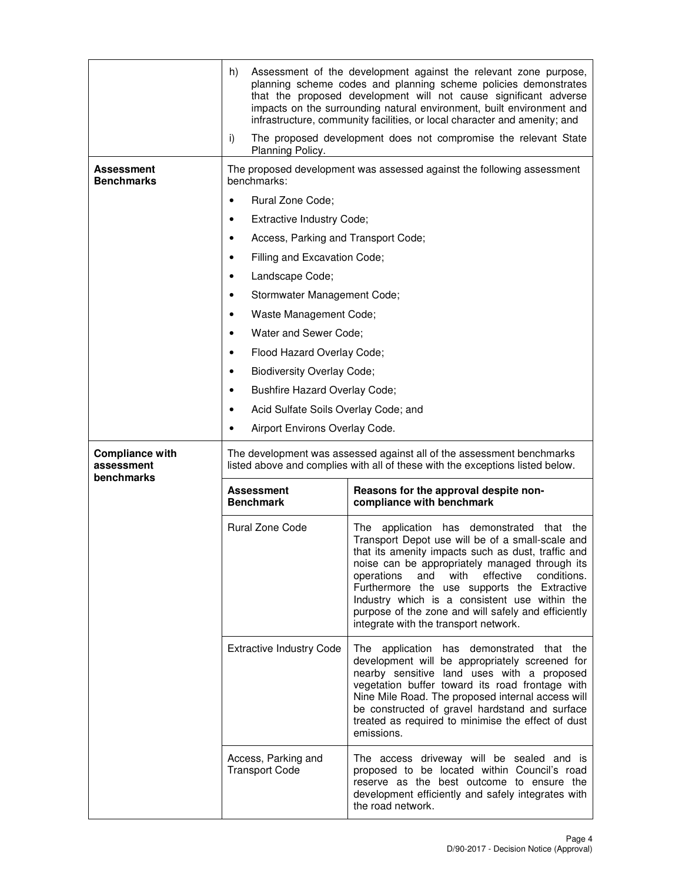|                                      | h)        |                                      | Assessment of the development against the relevant zone purpose,<br>planning scheme codes and planning scheme policies demonstrates<br>that the proposed development will not cause significant adverse<br>impacts on the surrounding natural environment, built environment and<br>infrastructure, community facilities, or local character and amenity; and                                                                                                     |
|--------------------------------------|-----------|--------------------------------------|-------------------------------------------------------------------------------------------------------------------------------------------------------------------------------------------------------------------------------------------------------------------------------------------------------------------------------------------------------------------------------------------------------------------------------------------------------------------|
|                                      | i)        | Planning Policy.                     | The proposed development does not compromise the relevant State                                                                                                                                                                                                                                                                                                                                                                                                   |
| Assessment<br><b>Benchmarks</b>      |           | benchmarks:                          | The proposed development was assessed against the following assessment                                                                                                                                                                                                                                                                                                                                                                                            |
|                                      |           | Rural Zone Code;                     |                                                                                                                                                                                                                                                                                                                                                                                                                                                                   |
|                                      | ٠         | Extractive Industry Code;            |                                                                                                                                                                                                                                                                                                                                                                                                                                                                   |
|                                      | ٠         | Access, Parking and Transport Code;  |                                                                                                                                                                                                                                                                                                                                                                                                                                                                   |
|                                      | ٠         | Filling and Excavation Code;         |                                                                                                                                                                                                                                                                                                                                                                                                                                                                   |
|                                      | ٠         | Landscape Code;                      |                                                                                                                                                                                                                                                                                                                                                                                                                                                                   |
|                                      |           | Stormwater Management Code;          |                                                                                                                                                                                                                                                                                                                                                                                                                                                                   |
|                                      | ٠         | Waste Management Code;               |                                                                                                                                                                                                                                                                                                                                                                                                                                                                   |
|                                      | ٠         | Water and Sewer Code;                |                                                                                                                                                                                                                                                                                                                                                                                                                                                                   |
|                                      | ٠         | Flood Hazard Overlay Code;           |                                                                                                                                                                                                                                                                                                                                                                                                                                                                   |
|                                      | ٠         | <b>Biodiversity Overlay Code;</b>    |                                                                                                                                                                                                                                                                                                                                                                                                                                                                   |
|                                      | ٠         | <b>Bushfire Hazard Overlay Code;</b> |                                                                                                                                                                                                                                                                                                                                                                                                                                                                   |
|                                      | $\bullet$ | Acid Sulfate Soils Overlay Code; and |                                                                                                                                                                                                                                                                                                                                                                                                                                                                   |
|                                      |           | Airport Environs Overlay Code.       |                                                                                                                                                                                                                                                                                                                                                                                                                                                                   |
|                                      |           |                                      |                                                                                                                                                                                                                                                                                                                                                                                                                                                                   |
| <b>Compliance with</b><br>assessment |           |                                      | The development was assessed against all of the assessment benchmarks<br>listed above and complies with all of these with the exceptions listed below.                                                                                                                                                                                                                                                                                                            |
| benchmarks                           |           | Assessment<br><b>Benchmark</b>       | Reasons for the approval despite non-<br>compliance with benchmark                                                                                                                                                                                                                                                                                                                                                                                                |
|                                      |           | <b>Rural Zone Code</b>               | application has demonstrated that the<br>The<br>Transport Depot use will be of a small-scale and<br>that its amenity impacts such as dust, traffic and<br>noise can be appropriately managed through its<br>effective<br>conditions.<br>operations<br>and<br>with<br>Furthermore the use supports the Extractive<br>Industry which is a consistent use within the<br>purpose of the zone and will safely and efficiently<br>integrate with the transport network. |
|                                      |           | <b>Extractive Industry Code</b>      | The application has demonstrated that the<br>development will be appropriately screened for<br>nearby sensitive land uses with a proposed<br>vegetation buffer toward its road frontage with<br>Nine Mile Road. The proposed internal access will<br>be constructed of gravel hardstand and surface<br>treated as required to minimise the effect of dust<br>emissions.                                                                                           |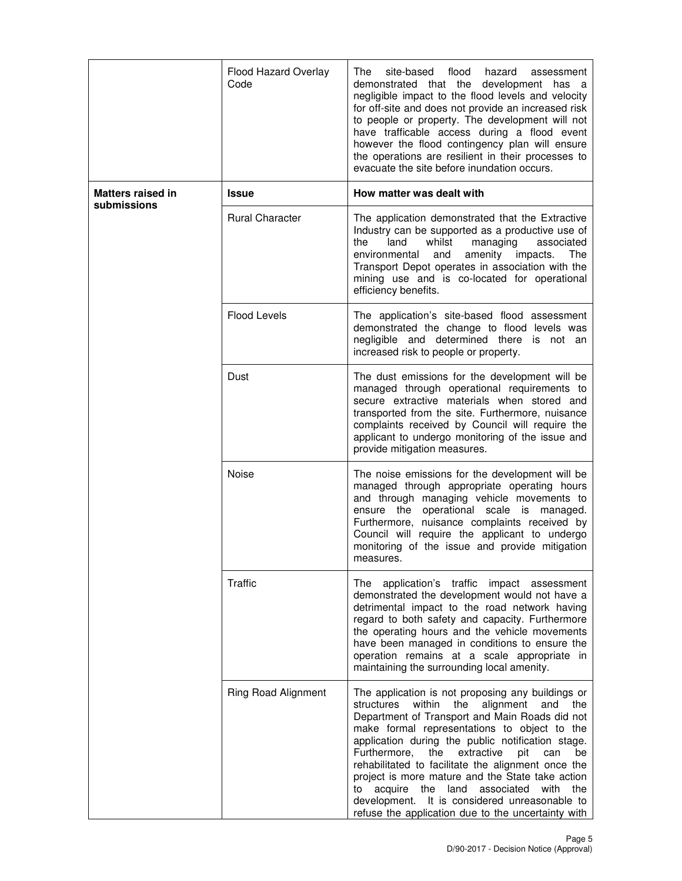|                                         | Flood Hazard Overlay<br>Code | The<br>site-based flood<br>hazard<br>assessment<br>demonstrated that the development has a<br>negligible impact to the flood levels and velocity<br>for off-site and does not provide an increased risk<br>to people or property. The development will not<br>have trafficable access during a flood event<br>however the flood contingency plan will ensure<br>the operations are resilient in their processes to<br>evacuate the site before inundation occurs.                                                                                                                          |
|-----------------------------------------|------------------------------|--------------------------------------------------------------------------------------------------------------------------------------------------------------------------------------------------------------------------------------------------------------------------------------------------------------------------------------------------------------------------------------------------------------------------------------------------------------------------------------------------------------------------------------------------------------------------------------------|
| <b>Matters raised in</b><br>submissions | Issue                        | How matter was dealt with                                                                                                                                                                                                                                                                                                                                                                                                                                                                                                                                                                  |
|                                         | <b>Rural Character</b>       | The application demonstrated that the Extractive<br>Industry can be supported as a productive use of<br>land<br>whilst<br>managing<br>the<br>associated<br>amenity impacts.<br>environmental<br>and<br>The<br>Transport Depot operates in association with the<br>mining use and is co-located for operational<br>efficiency benefits.                                                                                                                                                                                                                                                     |
|                                         | <b>Flood Levels</b>          | The application's site-based flood assessment<br>demonstrated the change to flood levels was<br>negligible and determined there is not an<br>increased risk to people or property.                                                                                                                                                                                                                                                                                                                                                                                                         |
|                                         | Dust                         | The dust emissions for the development will be<br>managed through operational requirements to<br>secure extractive materials when stored and<br>transported from the site. Furthermore, nuisance<br>complaints received by Council will require the<br>applicant to undergo monitoring of the issue and<br>provide mitigation measures.                                                                                                                                                                                                                                                    |
|                                         | Noise                        | The noise emissions for the development will be<br>managed through appropriate operating hours<br>and through managing vehicle movements to<br>ensure the operational scale is managed.<br>Furthermore, nuisance complaints received by<br>Council will require the applicant to undergo<br>monitoring of the issue and provide mitigation<br>measures.                                                                                                                                                                                                                                    |
|                                         | <b>Traffic</b>               | The<br>application's traffic impact assessment<br>demonstrated the development would not have a<br>detrimental impact to the road network having<br>regard to both safety and capacity. Furthermore<br>the operating hours and the vehicle movements<br>have been managed in conditions to ensure the<br>operation remains at a scale appropriate in<br>maintaining the surrounding local amenity.                                                                                                                                                                                         |
|                                         | <b>Ring Road Alignment</b>   | The application is not proposing any buildings or<br>within the<br>alignment<br>structures<br>and the<br>Department of Transport and Main Roads did not<br>make formal representations to object to the<br>application during the public notification stage.<br>Furthermore,<br>the<br>extractive<br>pit<br>can<br>be<br>rehabilitated to facilitate the alignment once the<br>project is more mature and the State take action<br>to acquire the land<br>associated<br>with the<br>It is considered unreasonable to<br>development.<br>refuse the application due to the uncertainty with |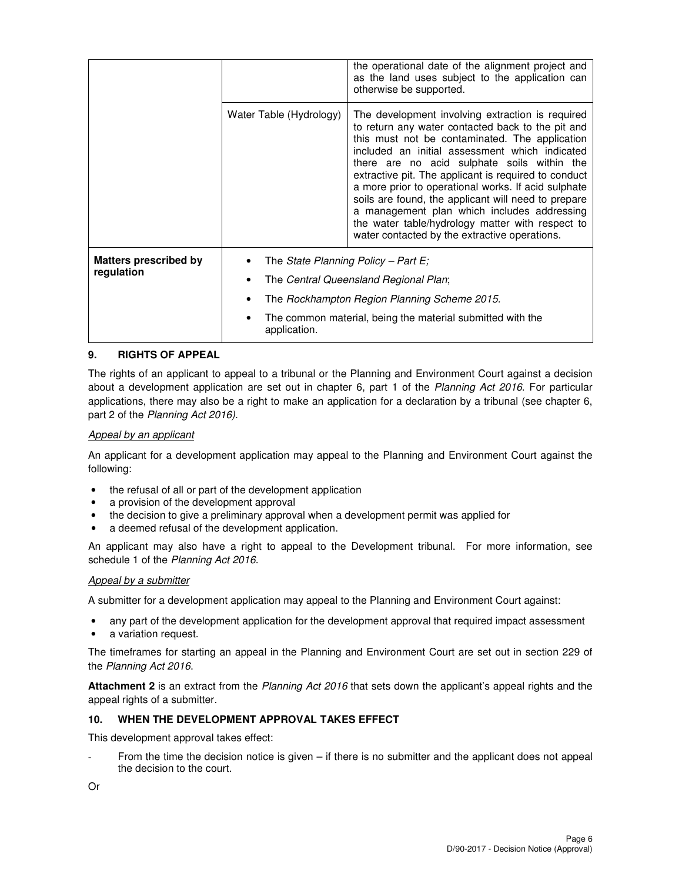|                                            |                                       | the operational date of the alignment project and<br>as the land uses subject to the application can<br>otherwise be supported.                                                                                                                                                                                                                                                                                                                                                                                                                                                    |  |
|--------------------------------------------|---------------------------------------|------------------------------------------------------------------------------------------------------------------------------------------------------------------------------------------------------------------------------------------------------------------------------------------------------------------------------------------------------------------------------------------------------------------------------------------------------------------------------------------------------------------------------------------------------------------------------------|--|
|                                            | Water Table (Hydrology)               | The development involving extraction is required<br>to return any water contacted back to the pit and<br>this must not be contaminated. The application<br>included an initial assessment which indicated<br>there are no acid sulphate soils within the<br>extractive pit. The applicant is required to conduct<br>a more prior to operational works. If acid sulphate<br>soils are found, the applicant will need to prepare<br>a management plan which includes addressing<br>the water table/hydrology matter with respect to<br>water contacted by the extractive operations. |  |
| <b>Matters prescribed by</b><br>regulation | The State Planning Policy – Part E;   |                                                                                                                                                                                                                                                                                                                                                                                                                                                                                                                                                                                    |  |
|                                            | The Central Queensland Regional Plan; |                                                                                                                                                                                                                                                                                                                                                                                                                                                                                                                                                                                    |  |
|                                            |                                       | The Rockhampton Region Planning Scheme 2015.                                                                                                                                                                                                                                                                                                                                                                                                                                                                                                                                       |  |
|                                            | application.                          | The common material, being the material submitted with the                                                                                                                                                                                                                                                                                                                                                                                                                                                                                                                         |  |

# **9. RIGHTS OF APPEAL**

The rights of an applicant to appeal to a tribunal or the Planning and Environment Court against a decision about a development application are set out in chapter 6, part 1 of the Planning Act 2016. For particular applications, there may also be a right to make an application for a declaration by a tribunal (see chapter 6, part 2 of the Planning Act 2016).

#### Appeal by an applicant

An applicant for a development application may appeal to the Planning and Environment Court against the following:

- the refusal of all or part of the development application
- a provision of the development approval
- the decision to give a preliminary approval when a development permit was applied for
- a deemed refusal of the development application.

An applicant may also have a right to appeal to the Development tribunal. For more information, see schedule 1 of the Planning Act 2016.

#### Appeal by a submitter

A submitter for a development application may appeal to the Planning and Environment Court against:

- any part of the development application for the development approval that required impact assessment
- a variation request.

The timeframes for starting an appeal in the Planning and Environment Court are set out in section 229 of the Planning Act 2016.

**Attachment 2** is an extract from the Planning Act 2016 that sets down the applicant's appeal rights and the appeal rights of a submitter.

#### **10. WHEN THE DEVELOPMENT APPROVAL TAKES EFFECT**

This development approval takes effect:

From the time the decision notice is given  $-$  if there is no submitter and the applicant does not appeal the decision to the court.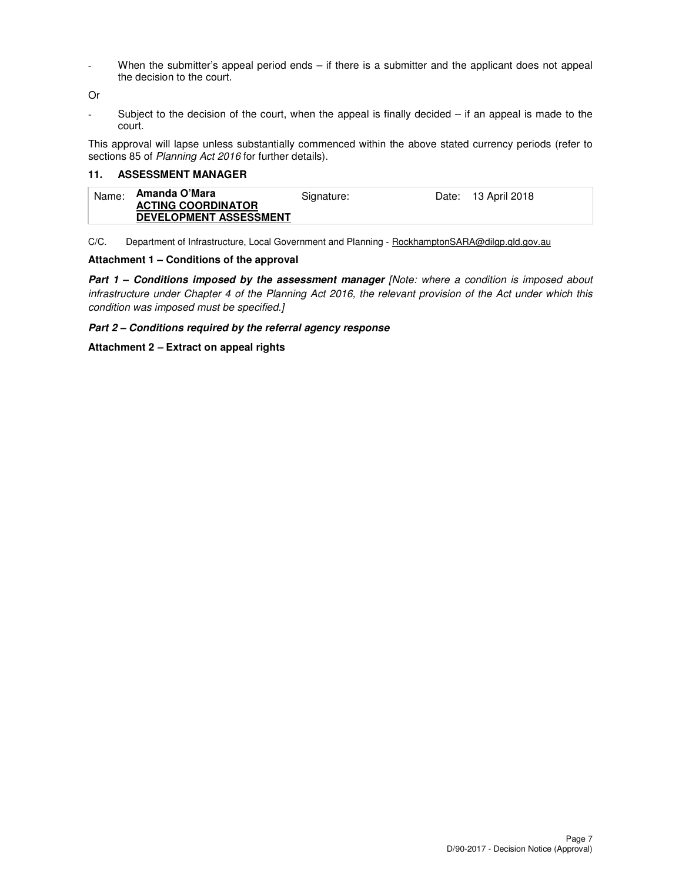- When the submitter's appeal period ends – if there is a submitter and the applicant does not appeal the decision to the court.

Or

- Subject to the decision of the court, when the appeal is finally decided – if an appeal is made to the court.

This approval will lapse unless substantially commenced within the above stated currency periods (refer to sections 85 of Planning Act 2016 for further details).

#### **11. ASSESSMENT MANAGER**

| Amanda O'Mara<br>Name:<br><b>ACTING COORDINATOR</b><br><b>DEVELOPMENT ASSESSMENT</b> | Signature: | Date: 13 April 2018 |  |
|--------------------------------------------------------------------------------------|------------|---------------------|--|
|--------------------------------------------------------------------------------------|------------|---------------------|--|

C/C. Department of Infrastructure, Local Government and Planning - RockhamptonSARA@dilgp.qld.gov.au

#### **Attachment 1 – Conditions of the approval**

**Part 1 – Conditions imposed by the assessment manager [Note: where a condition is imposed about** infrastructure under Chapter 4 of the Planning Act 2016, the relevant provision of the Act under which this condition was imposed must be specified.]

#### **Part 2 – Conditions required by the referral agency response**

#### **Attachment 2 – Extract on appeal rights**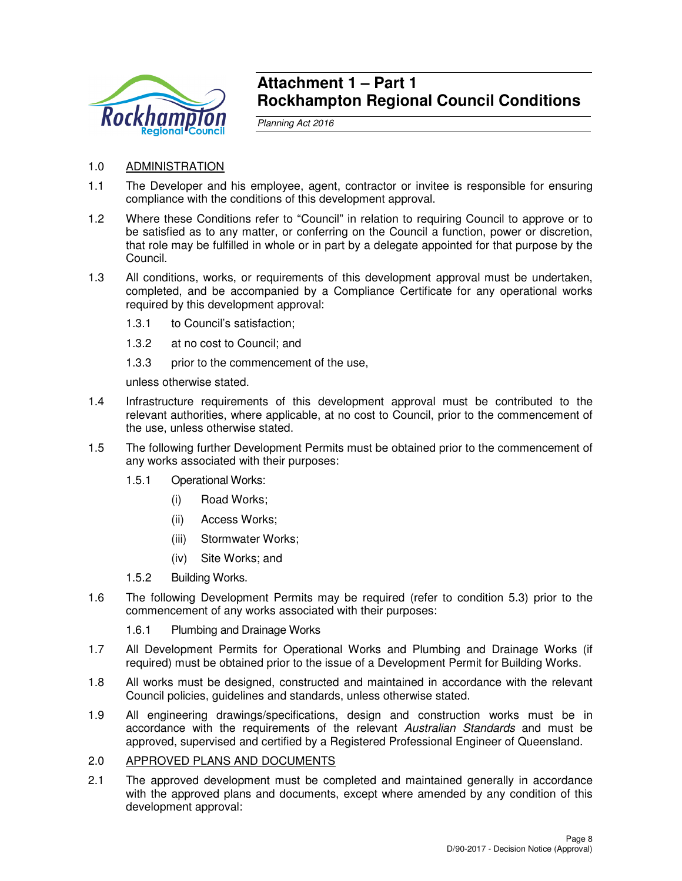

# **Attachment 1 – Part 1 Rockhampton Regional Council Conditions**

Planning Act 2016

- 1.0 ADMINISTRATION
- 1.1 The Developer and his employee, agent, contractor or invitee is responsible for ensuring compliance with the conditions of this development approval.
- 1.2 Where these Conditions refer to "Council" in relation to requiring Council to approve or to be satisfied as to any matter, or conferring on the Council a function, power or discretion, that role may be fulfilled in whole or in part by a delegate appointed for that purpose by the Council.
- 1.3 All conditions, works, or requirements of this development approval must be undertaken, completed, and be accompanied by a Compliance Certificate for any operational works required by this development approval:
	- 1.3.1 to Council's satisfaction;
	- 1.3.2 at no cost to Council; and
	- 1.3.3 prior to the commencement of the use,

unless otherwise stated.

- 1.4 Infrastructure requirements of this development approval must be contributed to the relevant authorities, where applicable, at no cost to Council, prior to the commencement of the use, unless otherwise stated.
- 1.5 The following further Development Permits must be obtained prior to the commencement of any works associated with their purposes:
	- 1.5.1 Operational Works:
		- (i) Road Works;
		- (ii) Access Works;
		- (iii) Stormwater Works;
		- (iv) Site Works; and
	- 1.5.2 Building Works.
- 1.6 The following Development Permits may be required (refer to condition 5.3) prior to the commencement of any works associated with their purposes:
	- 1.6.1 Plumbing and Drainage Works
- 1.7 All Development Permits for Operational Works and Plumbing and Drainage Works (if required) must be obtained prior to the issue of a Development Permit for Building Works.
- 1.8 All works must be designed, constructed and maintained in accordance with the relevant Council policies, guidelines and standards, unless otherwise stated.
- 1.9 All engineering drawings/specifications, design and construction works must be in accordance with the requirements of the relevant Australian Standards and must be approved, supervised and certified by a Registered Professional Engineer of Queensland.
- 2.0 APPROVED PLANS AND DOCUMENTS
- 2.1 The approved development must be completed and maintained generally in accordance with the approved plans and documents, except where amended by any condition of this development approval: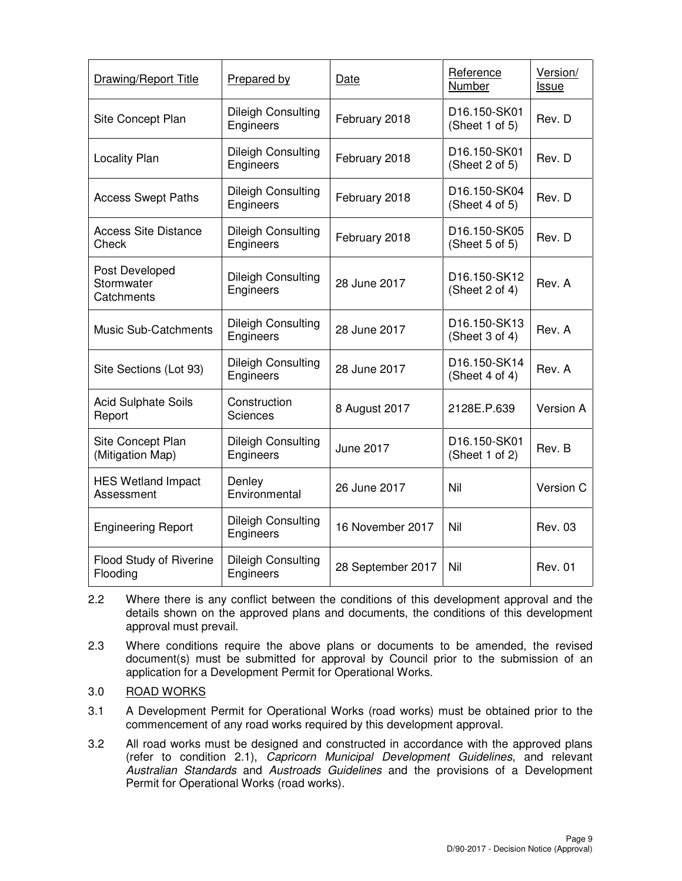| <b>Drawing/Report Title</b>                  | <b>Prepared by</b>                     | Date              | Reference<br>Number            | Version/<br><b>Issue</b> |
|----------------------------------------------|----------------------------------------|-------------------|--------------------------------|--------------------------|
| Site Concept Plan                            | Dileigh Consulting<br>Engineers        | February 2018     | D16.150-SK01<br>(Sheet 1 of 5) | Rev. D                   |
| Locality Plan                                | <b>Dileigh Consulting</b><br>Engineers | February 2018     | D16.150-SK01<br>(Sheet 2 of 5) | Rev. D                   |
| <b>Access Swept Paths</b>                    | <b>Dileigh Consulting</b><br>Engineers | February 2018     | D16.150-SK04<br>(Sheet 4 of 5) | Rev. D                   |
| <b>Access Site Distance</b><br>Check         | <b>Dileigh Consulting</b><br>Engineers | February 2018     | D16.150-SK05<br>(Sheet 5 of 5) | Rev. D                   |
| Post Developed<br>Stormwater<br>Catchments   | Dileigh Consulting<br>Engineers        | 28 June 2017      | D16.150-SK12<br>(Sheet 2 of 4) | Rev. A                   |
| <b>Music Sub-Catchments</b>                  | <b>Dileigh Consulting</b><br>Engineers | 28 June 2017      | D16.150-SK13<br>(Sheet 3 of 4) | Rev. A                   |
| Site Sections (Lot 93)                       | <b>Dileigh Consulting</b><br>Engineers | 28 June 2017      | D16.150-SK14<br>(Sheet 4 of 4) | Rev. A                   |
| <b>Acid Sulphate Soils</b><br>Report         | Construction<br><b>Sciences</b>        | 8 August 2017     | 2128E.P.639                    | Version A                |
| <b>Site Concept Plan</b><br>(Mitigation Map) | <b>Dileigh Consulting</b><br>Engineers | <b>June 2017</b>  | D16.150-SK01<br>(Sheet 1 of 2) | Rev. B                   |
| <b>HES Wetland Impact</b><br>Assessment      | Denley<br>Environmental                | 26 June 2017      | Nil                            | <b>Version C</b>         |
| <b>Engineering Report</b>                    | <b>Dileigh Consulting</b><br>Engineers | 16 November 2017  | Nil                            | <b>Rev. 03</b>           |
| Flood Study of Riverine<br>Flooding          | <b>Dileigh Consulting</b><br>Engineers | 28 September 2017 | Nil                            | <b>Rev. 01</b>           |

- 2.2 Where there is any conflict between the conditions of this development approval and the details shown on the approved plans and documents, the conditions of this development approval must prevail.
- 2.3 Where conditions require the above plans or documents to be amended, the revised document(s) must be submitted for approval by Council prior to the submission of an application for a Development Permit for Operational Works.
- 3.0 ROAD WORKS
- 3.1 A Development Permit for Operational Works (road works) must be obtained prior to the commencement of any road works required by this development approval.
- 3.2 All road works must be designed and constructed in accordance with the approved plans (refer to condition 2.1), Capricorn Municipal Development Guidelines, and relevant Australian Standards and Austroads Guidelines and the provisions of a Development Permit for Operational Works (road works).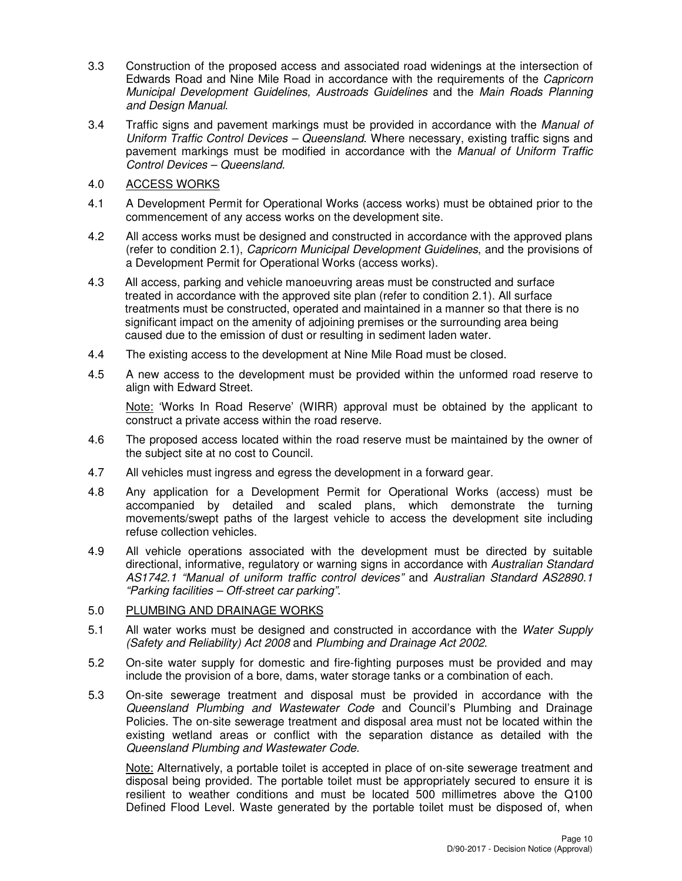- 3.3 Construction of the proposed access and associated road widenings at the intersection of Edwards Road and Nine Mile Road in accordance with the requirements of the Capricorn Municipal Development Guidelines, Austroads Guidelines and the Main Roads Planning and Design Manual.
- 3.4 Traffic signs and pavement markings must be provided in accordance with the Manual of Uniform Traffic Control Devices – Queensland. Where necessary, existing traffic signs and pavement markings must be modified in accordance with the Manual of Uniform Traffic Control Devices – Queensland.
- 4.0 ACCESS WORKS
- 4.1 A Development Permit for Operational Works (access works) must be obtained prior to the commencement of any access works on the development site.
- 4.2 All access works must be designed and constructed in accordance with the approved plans (refer to condition 2.1), Capricorn Municipal Development Guidelines, and the provisions of a Development Permit for Operational Works (access works).
- 4.3 All access, parking and vehicle manoeuvring areas must be constructed and surface treated in accordance with the approved site plan (refer to condition 2.1). All surface treatments must be constructed, operated and maintained in a manner so that there is no significant impact on the amenity of adjoining premises or the surrounding area being caused due to the emission of dust or resulting in sediment laden water.
- 4.4 The existing access to the development at Nine Mile Road must be closed.
- 4.5 A new access to the development must be provided within the unformed road reserve to align with Edward Street.

Note: 'Works In Road Reserve' (WIRR) approval must be obtained by the applicant to construct a private access within the road reserve.

- 4.6 The proposed access located within the road reserve must be maintained by the owner of the subject site at no cost to Council.
- 4.7 All vehicles must ingress and egress the development in a forward gear.
- 4.8 Any application for a Development Permit for Operational Works (access) must be accompanied by detailed and scaled plans, which demonstrate the turning movements/swept paths of the largest vehicle to access the development site including refuse collection vehicles.
- 4.9 All vehicle operations associated with the development must be directed by suitable directional, informative, regulatory or warning signs in accordance with Australian Standard AS1742.1 "Manual of uniform traffic control devices" and Australian Standard AS2890.1 "Parking facilities – Off-street car parking".

# 5.0 PLUMBING AND DRAINAGE WORKS

- 5.1 All water works must be designed and constructed in accordance with the Water Supply (Safety and Reliability) Act 2008 and Plumbing and Drainage Act 2002.
- 5.2 On-site water supply for domestic and fire-fighting purposes must be provided and may include the provision of a bore, dams, water storage tanks or a combination of each.
- 5.3 On-site sewerage treatment and disposal must be provided in accordance with the Queensland Plumbing and Wastewater Code and Council's Plumbing and Drainage Policies. The on-site sewerage treatment and disposal area must not be located within the existing wetland areas or conflict with the separation distance as detailed with the Queensland Plumbing and Wastewater Code.

Note: Alternatively, a portable toilet is accepted in place of on-site sewerage treatment and disposal being provided. The portable toilet must be appropriately secured to ensure it is resilient to weather conditions and must be located 500 millimetres above the Q100 Defined Flood Level. Waste generated by the portable toilet must be disposed of, when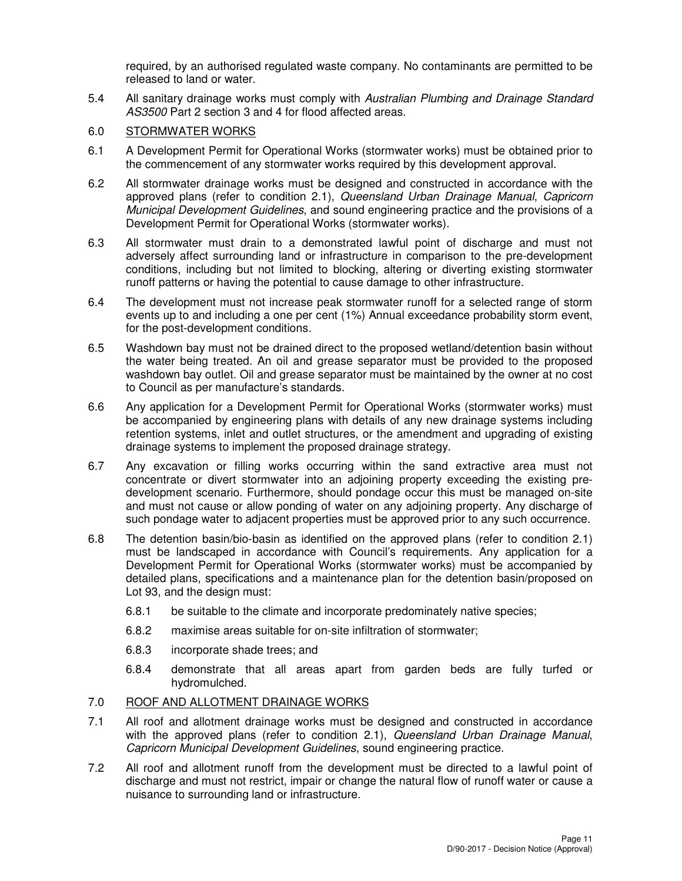required, by an authorised regulated waste company. No contaminants are permitted to be released to land or water.

- 5.4 All sanitary drainage works must comply with Australian Plumbing and Drainage Standard AS3500 Part 2 section 3 and 4 for flood affected areas.
- 6.0 STORMWATER WORKS
- 6.1 A Development Permit for Operational Works (stormwater works) must be obtained prior to the commencement of any stormwater works required by this development approval.
- 6.2 All stormwater drainage works must be designed and constructed in accordance with the approved plans (refer to condition 2.1), Queensland Urban Drainage Manual, Capricorn Municipal Development Guidelines, and sound engineering practice and the provisions of a Development Permit for Operational Works (stormwater works).
- 6.3 All stormwater must drain to a demonstrated lawful point of discharge and must not adversely affect surrounding land or infrastructure in comparison to the pre-development conditions, including but not limited to blocking, altering or diverting existing stormwater runoff patterns or having the potential to cause damage to other infrastructure.
- 6.4 The development must not increase peak stormwater runoff for a selected range of storm events up to and including a one per cent (1%) Annual exceedance probability storm event, for the post-development conditions.
- 6.5 Washdown bay must not be drained direct to the proposed wetland/detention basin without the water being treated. An oil and grease separator must be provided to the proposed washdown bay outlet. Oil and grease separator must be maintained by the owner at no cost to Council as per manufacture's standards.
- 6.6 Any application for a Development Permit for Operational Works (stormwater works) must be accompanied by engineering plans with details of any new drainage systems including retention systems, inlet and outlet structures, or the amendment and upgrading of existing drainage systems to implement the proposed drainage strategy.
- 6.7 Any excavation or filling works occurring within the sand extractive area must not concentrate or divert stormwater into an adjoining property exceeding the existing predevelopment scenario. Furthermore, should pondage occur this must be managed on-site and must not cause or allow ponding of water on any adjoining property. Any discharge of such pondage water to adjacent properties must be approved prior to any such occurrence.
- 6.8 The detention basin/bio-basin as identified on the approved plans (refer to condition 2.1) must be landscaped in accordance with Council's requirements. Any application for a Development Permit for Operational Works (stormwater works) must be accompanied by detailed plans, specifications and a maintenance plan for the detention basin/proposed on Lot 93, and the design must:
	- 6.8.1 be suitable to the climate and incorporate predominately native species;
	- 6.8.2 maximise areas suitable for on-site infiltration of stormwater;
	- 6.8.3 incorporate shade trees; and
	- 6.8.4 demonstrate that all areas apart from garden beds are fully turfed or hydromulched.

# 7.0 ROOF AND ALLOTMENT DRAINAGE WORKS

- 7.1 All roof and allotment drainage works must be designed and constructed in accordance with the approved plans (refer to condition 2.1), Queensland Urban Drainage Manual, Capricorn Municipal Development Guidelines, sound engineering practice.
- 7.2 All roof and allotment runoff from the development must be directed to a lawful point of discharge and must not restrict, impair or change the natural flow of runoff water or cause a nuisance to surrounding land or infrastructure.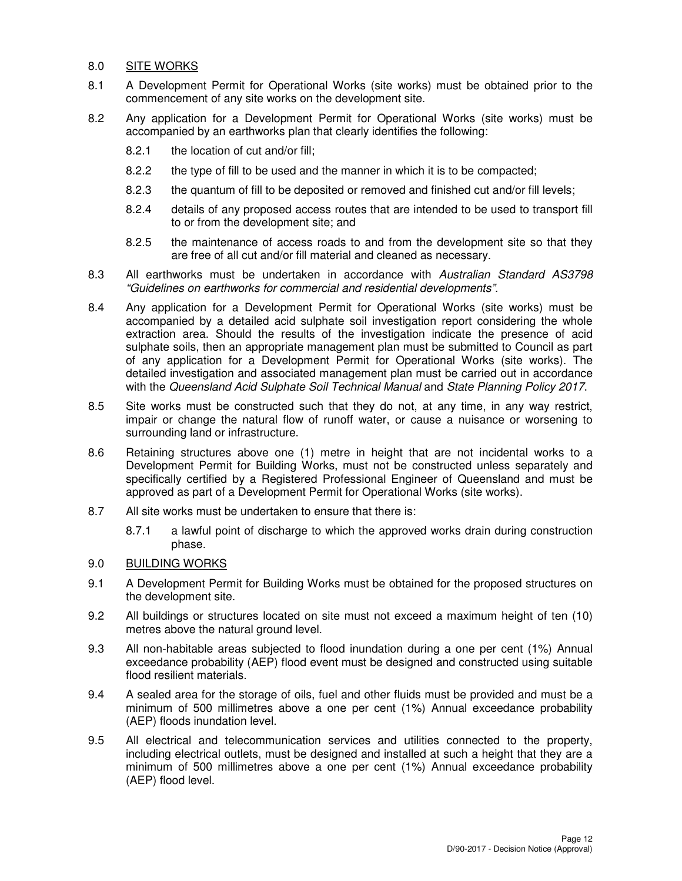#### 8.0 SITE WORKS

- 8.1 A Development Permit for Operational Works (site works) must be obtained prior to the commencement of any site works on the development site.
- 8.2 Any application for a Development Permit for Operational Works (site works) must be accompanied by an earthworks plan that clearly identifies the following:
	- 8.2.1 the location of cut and/or fill;
	- 8.2.2 the type of fill to be used and the manner in which it is to be compacted;
	- 8.2.3 the quantum of fill to be deposited or removed and finished cut and/or fill levels;
	- 8.2.4 details of any proposed access routes that are intended to be used to transport fill to or from the development site; and
	- 8.2.5 the maintenance of access roads to and from the development site so that they are free of all cut and/or fill material and cleaned as necessary.
- 8.3 All earthworks must be undertaken in accordance with Australian Standard AS3798 "Guidelines on earthworks for commercial and residential developments".
- 8.4 Any application for a Development Permit for Operational Works (site works) must be accompanied by a detailed acid sulphate soil investigation report considering the whole extraction area. Should the results of the investigation indicate the presence of acid sulphate soils, then an appropriate management plan must be submitted to Council as part of any application for a Development Permit for Operational Works (site works). The detailed investigation and associated management plan must be carried out in accordance with the Queensland Acid Sulphate Soil Technical Manual and State Planning Policy 2017.
- 8.5 Site works must be constructed such that they do not, at any time, in any way restrict, impair or change the natural flow of runoff water, or cause a nuisance or worsening to surrounding land or infrastructure.
- 8.6 Retaining structures above one (1) metre in height that are not incidental works to a Development Permit for Building Works, must not be constructed unless separately and specifically certified by a Registered Professional Engineer of Queensland and must be approved as part of a Development Permit for Operational Works (site works).
- 8.7 All site works must be undertaken to ensure that there is:
	- 8.7.1 a lawful point of discharge to which the approved works drain during construction phase.

#### 9.0 BUILDING WORKS

- 9.1 A Development Permit for Building Works must be obtained for the proposed structures on the development site.
- 9.2 All buildings or structures located on site must not exceed a maximum height of ten (10) metres above the natural ground level.
- 9.3 All non-habitable areas subjected to flood inundation during a one per cent (1%) Annual exceedance probability (AEP) flood event must be designed and constructed using suitable flood resilient materials.
- 9.4 A sealed area for the storage of oils, fuel and other fluids must be provided and must be a minimum of 500 millimetres above a one per cent (1%) Annual exceedance probability (AEP) floods inundation level.
- 9.5 All electrical and telecommunication services and utilities connected to the property, including electrical outlets, must be designed and installed at such a height that they are a minimum of 500 millimetres above a one per cent (1%) Annual exceedance probability (AEP) flood level.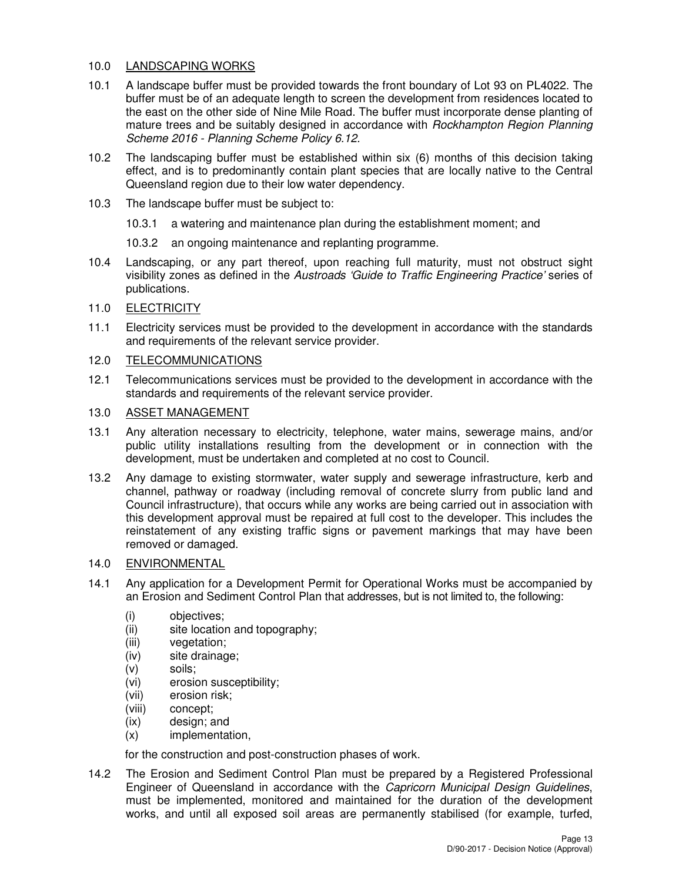# 10.0 LANDSCAPING WORKS

- 10.1 A landscape buffer must be provided towards the front boundary of Lot 93 on PL4022. The buffer must be of an adequate length to screen the development from residences located to the east on the other side of Nine Mile Road. The buffer must incorporate dense planting of mature trees and be suitably designed in accordance with Rockhampton Region Planning Scheme 2016 - Planning Scheme Policy 6.12.
- 10.2 The landscaping buffer must be established within six (6) months of this decision taking effect, and is to predominantly contain plant species that are locally native to the Central Queensland region due to their low water dependency.
- 10.3 The landscape buffer must be subject to:
	- 10.3.1 a watering and maintenance plan during the establishment moment; and
	- 10.3.2 an ongoing maintenance and replanting programme.
- 10.4 Landscaping, or any part thereof, upon reaching full maturity, must not obstruct sight visibility zones as defined in the Austroads 'Guide to Traffic Engineering Practice' series of publications.

# 11.0 ELECTRICITY

11.1 Electricity services must be provided to the development in accordance with the standards and requirements of the relevant service provider.

## 12.0 TELECOMMUNICATIONS

12.1 Telecommunications services must be provided to the development in accordance with the standards and requirements of the relevant service provider.

# 13.0 ASSET MANAGEMENT

- 13.1 Any alteration necessary to electricity, telephone, water mains, sewerage mains, and/or public utility installations resulting from the development or in connection with the development, must be undertaken and completed at no cost to Council.
- 13.2 Any damage to existing stormwater, water supply and sewerage infrastructure, kerb and channel, pathway or roadway (including removal of concrete slurry from public land and Council infrastructure), that occurs while any works are being carried out in association with this development approval must be repaired at full cost to the developer. This includes the reinstatement of any existing traffic signs or pavement markings that may have been removed or damaged.

#### 14.0 ENVIRONMENTAL

- 14.1 Any application for a Development Permit for Operational Works must be accompanied by an Erosion and Sediment Control Plan that addresses, but is not limited to, the following:
	- (i) objectives;
	- (ii) site location and topography;
	- (iii) vegetation;
	- (iv) site drainage;
	- (v) soils;
	- (vi) erosion susceptibility;
	- (vii) erosion risk;
	- (viii) concept;
	- (ix) design; and
	- (x) implementation,

for the construction and post-construction phases of work.

14.2 The Erosion and Sediment Control Plan must be prepared by a Registered Professional Engineer of Queensland in accordance with the Capricorn Municipal Design Guidelines, must be implemented, monitored and maintained for the duration of the development works, and until all exposed soil areas are permanently stabilised (for example, turfed,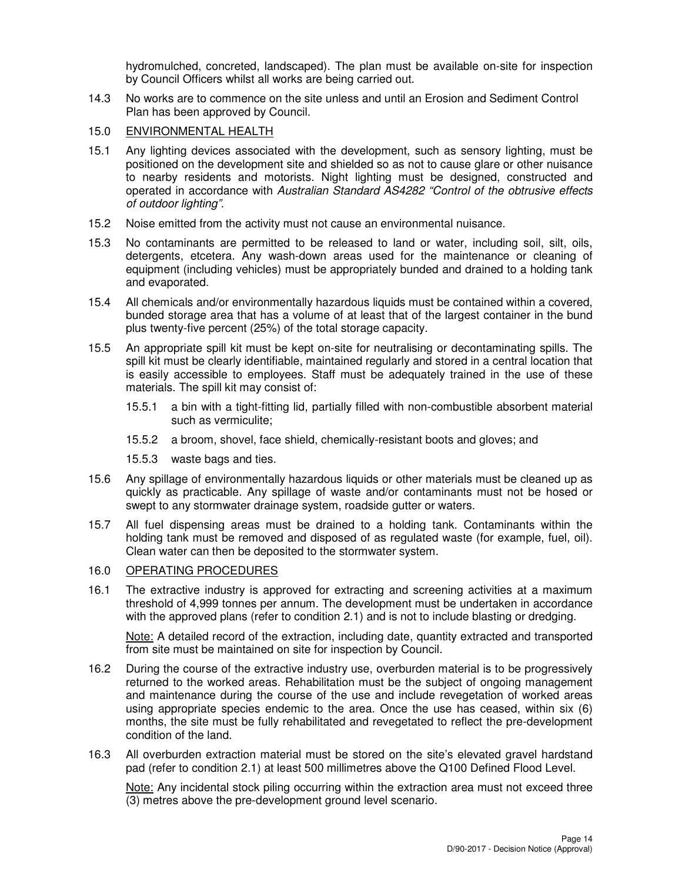hydromulched, concreted, landscaped). The plan must be available on-site for inspection by Council Officers whilst all works are being carried out.

- 14.3 No works are to commence on the site unless and until an Erosion and Sediment Control Plan has been approved by Council.
- 15.0 ENVIRONMENTAL HEALTH
- 15.1 Any lighting devices associated with the development, such as sensory lighting, must be positioned on the development site and shielded so as not to cause glare or other nuisance to nearby residents and motorists. Night lighting must be designed, constructed and operated in accordance with Australian Standard AS4282 "Control of the obtrusive effects of outdoor lighting".
- 15.2 Noise emitted from the activity must not cause an environmental nuisance.
- 15.3 No contaminants are permitted to be released to land or water, including soil, silt, oils, detergents, etcetera. Any wash-down areas used for the maintenance or cleaning of equipment (including vehicles) must be appropriately bunded and drained to a holding tank and evaporated.
- 15.4 All chemicals and/or environmentally hazardous liquids must be contained within a covered, bunded storage area that has a volume of at least that of the largest container in the bund plus twenty-five percent (25%) of the total storage capacity.
- 15.5 An appropriate spill kit must be kept on-site for neutralising or decontaminating spills. The spill kit must be clearly identifiable, maintained regularly and stored in a central location that is easily accessible to employees. Staff must be adequately trained in the use of these materials. The spill kit may consist of:
	- 15.5.1 a bin with a tight-fitting lid, partially filled with non-combustible absorbent material such as vermiculite;
	- 15.5.2 a broom, shovel, face shield, chemically-resistant boots and gloves; and
	- 15.5.3 waste bags and ties.
- 15.6 Any spillage of environmentally hazardous liquids or other materials must be cleaned up as quickly as practicable. Any spillage of waste and/or contaminants must not be hosed or swept to any stormwater drainage system, roadside gutter or waters.
- 15.7 All fuel dispensing areas must be drained to a holding tank. Contaminants within the holding tank must be removed and disposed of as regulated waste (for example, fuel, oil). Clean water can then be deposited to the stormwater system.
- 16.0 OPERATING PROCEDURES
- 16.1 The extractive industry is approved for extracting and screening activities at a maximum threshold of 4,999 tonnes per annum. The development must be undertaken in accordance with the approved plans (refer to condition 2.1) and is not to include blasting or dredging.

Note: A detailed record of the extraction, including date, quantity extracted and transported from site must be maintained on site for inspection by Council.

- 16.2 During the course of the extractive industry use, overburden material is to be progressively returned to the worked areas. Rehabilitation must be the subject of ongoing management and maintenance during the course of the use and include revegetation of worked areas using appropriate species endemic to the area. Once the use has ceased, within six (6) months, the site must be fully rehabilitated and revegetated to reflect the pre-development condition of the land.
- 16.3 All overburden extraction material must be stored on the site's elevated gravel hardstand pad (refer to condition 2.1) at least 500 millimetres above the Q100 Defined Flood Level.

Note: Any incidental stock piling occurring within the extraction area must not exceed three (3) metres above the pre-development ground level scenario.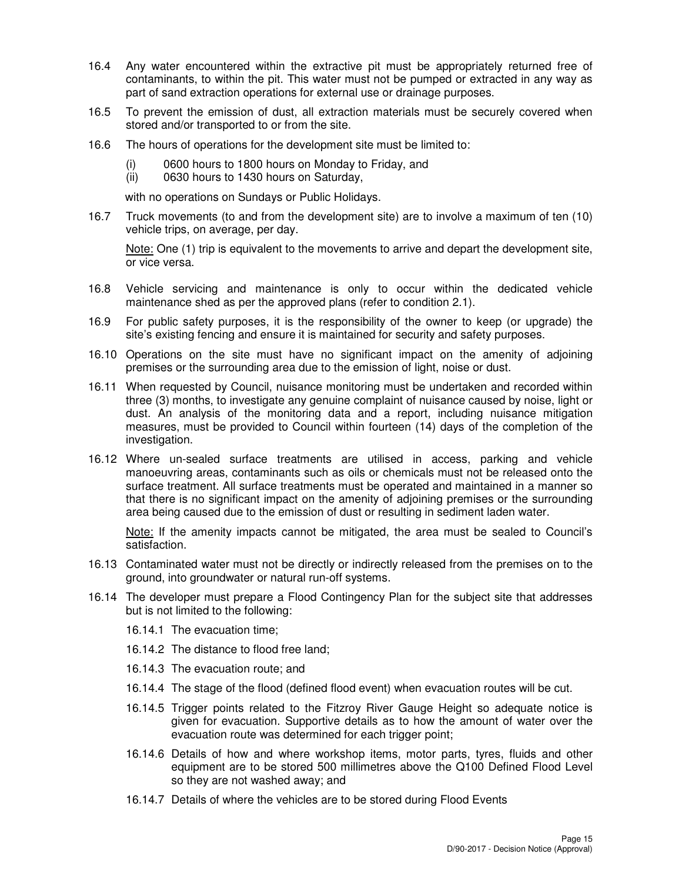- 16.4 Any water encountered within the extractive pit must be appropriately returned free of contaminants, to within the pit. This water must not be pumped or extracted in any way as part of sand extraction operations for external use or drainage purposes.
- 16.5 To prevent the emission of dust, all extraction materials must be securely covered when stored and/or transported to or from the site.
- 16.6 The hours of operations for the development site must be limited to:
	- (i) 0600 hours to 1800 hours on Monday to Friday, and
	- (ii) 0630 hours to 1430 hours on Saturday,

with no operations on Sundays or Public Holidays.

16.7 Truck movements (to and from the development site) are to involve a maximum of ten (10) vehicle trips, on average, per day.

Note: One (1) trip is equivalent to the movements to arrive and depart the development site, or vice versa.

- 16.8 Vehicle servicing and maintenance is only to occur within the dedicated vehicle maintenance shed as per the approved plans (refer to condition 2.1).
- 16.9 For public safety purposes, it is the responsibility of the owner to keep (or upgrade) the site's existing fencing and ensure it is maintained for security and safety purposes.
- 16.10 Operations on the site must have no significant impact on the amenity of adjoining premises or the surrounding area due to the emission of light, noise or dust.
- 16.11 When requested by Council, nuisance monitoring must be undertaken and recorded within three (3) months, to investigate any genuine complaint of nuisance caused by noise, light or dust. An analysis of the monitoring data and a report, including nuisance mitigation measures, must be provided to Council within fourteen (14) days of the completion of the investigation.
- 16.12 Where un-sealed surface treatments are utilised in access, parking and vehicle manoeuvring areas, contaminants such as oils or chemicals must not be released onto the surface treatment. All surface treatments must be operated and maintained in a manner so that there is no significant impact on the amenity of adjoining premises or the surrounding area being caused due to the emission of dust or resulting in sediment laden water.

Note: If the amenity impacts cannot be mitigated, the area must be sealed to Council's satisfaction.

- 16.13 Contaminated water must not be directly or indirectly released from the premises on to the ground, into groundwater or natural run-off systems.
- 16.14 The developer must prepare a Flood Contingency Plan for the subject site that addresses but is not limited to the following:
	- 16.14.1 The evacuation time;
	- 16.14.2 The distance to flood free land;
	- 16.14.3 The evacuation route; and
	- 16.14.4 The stage of the flood (defined flood event) when evacuation routes will be cut.
	- 16.14.5 Trigger points related to the Fitzroy River Gauge Height so adequate notice is given for evacuation. Supportive details as to how the amount of water over the evacuation route was determined for each trigger point;
	- 16.14.6 Details of how and where workshop items, motor parts, tyres, fluids and other equipment are to be stored 500 millimetres above the Q100 Defined Flood Level so they are not washed away; and
	- 16.14.7 Details of where the vehicles are to be stored during Flood Events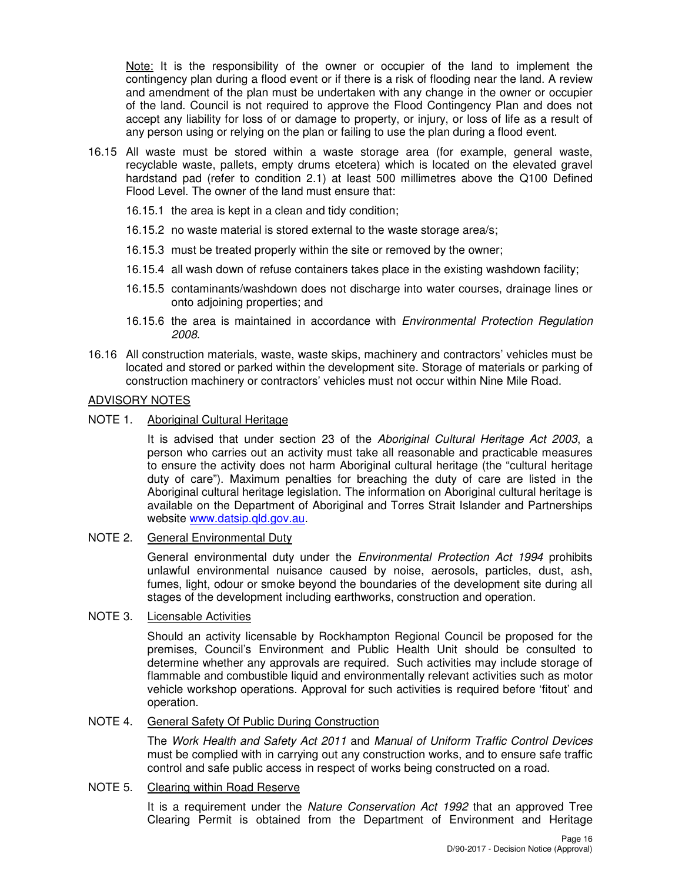Note: It is the responsibility of the owner or occupier of the land to implement the contingency plan during a flood event or if there is a risk of flooding near the land. A review and amendment of the plan must be undertaken with any change in the owner or occupier of the land. Council is not required to approve the Flood Contingency Plan and does not accept any liability for loss of or damage to property, or injury, or loss of life as a result of any person using or relying on the plan or failing to use the plan during a flood event.

- 16.15 All waste must be stored within a waste storage area (for example, general waste, recyclable waste, pallets, empty drums etcetera) which is located on the elevated gravel hardstand pad (refer to condition 2.1) at least 500 millimetres above the Q100 Defined Flood Level. The owner of the land must ensure that:
	- 16.15.1 the area is kept in a clean and tidy condition;
	- 16.15.2 no waste material is stored external to the waste storage area/s;
	- 16.15.3 must be treated properly within the site or removed by the owner;
	- 16.15.4 all wash down of refuse containers takes place in the existing washdown facility;
	- 16.15.5 contaminants/washdown does not discharge into water courses, drainage lines or onto adjoining properties; and
	- 16.15.6 the area is maintained in accordance with Environmental Protection Regulation 2008.
- 16.16 All construction materials, waste, waste skips, machinery and contractors' vehicles must be located and stored or parked within the development site. Storage of materials or parking of construction machinery or contractors' vehicles must not occur within Nine Mile Road.

# ADVISORY NOTES

NOTE 1. Aboriginal Cultural Heritage

It is advised that under section 23 of the Aboriginal Cultural Heritage Act 2003, a person who carries out an activity must take all reasonable and practicable measures to ensure the activity does not harm Aboriginal cultural heritage (the "cultural heritage duty of care"). Maximum penalties for breaching the duty of care are listed in the Aboriginal cultural heritage legislation. The information on Aboriginal cultural heritage is available on the Department of Aboriginal and Torres Strait Islander and Partnerships website www.datsip.qld.gov.au.

# NOTE 2. General Environmental Duty

General environmental duty under the *Environmental Protection Act 1994* prohibits unlawful environmental nuisance caused by noise, aerosols, particles, dust, ash, fumes, light, odour or smoke beyond the boundaries of the development site during all stages of the development including earthworks, construction and operation.

#### NOTE 3. Licensable Activities

Should an activity licensable by Rockhampton Regional Council be proposed for the premises, Council's Environment and Public Health Unit should be consulted to determine whether any approvals are required. Such activities may include storage of flammable and combustible liquid and environmentally relevant activities such as motor vehicle workshop operations. Approval for such activities is required before 'fitout' and operation.

# NOTE 4. General Safety Of Public During Construction

The Work Health and Safety Act 2011 and Manual of Uniform Traffic Control Devices must be complied with in carrying out any construction works, and to ensure safe traffic control and safe public access in respect of works being constructed on a road.

# NOTE 5. Clearing within Road Reserve

It is a requirement under the *Nature Conservation Act 1992* that an approved Tree Clearing Permit is obtained from the Department of Environment and Heritage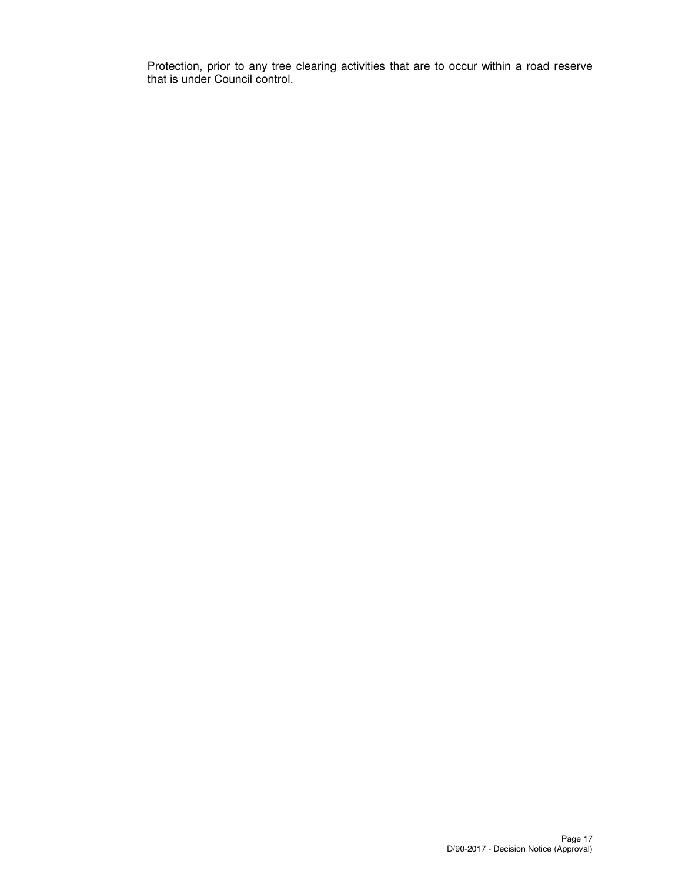Protection, prior to any tree clearing activities that are to occur within a road reserve that is under Council control.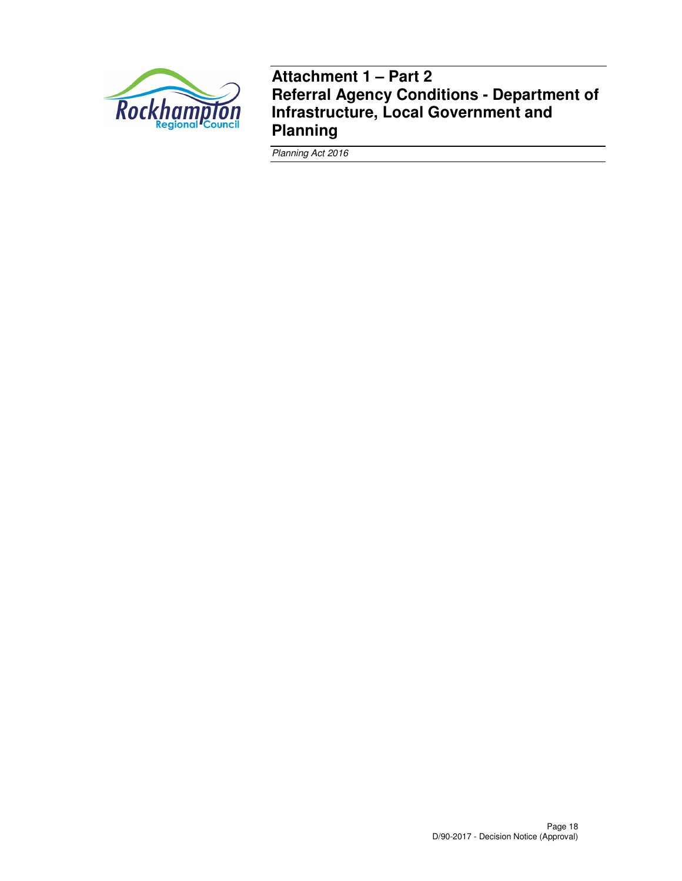

**Attachment 1 – Part 2 Referral Agency Conditions - Department of Infrastructure, Local Government and Planning** 

Planning Act 2016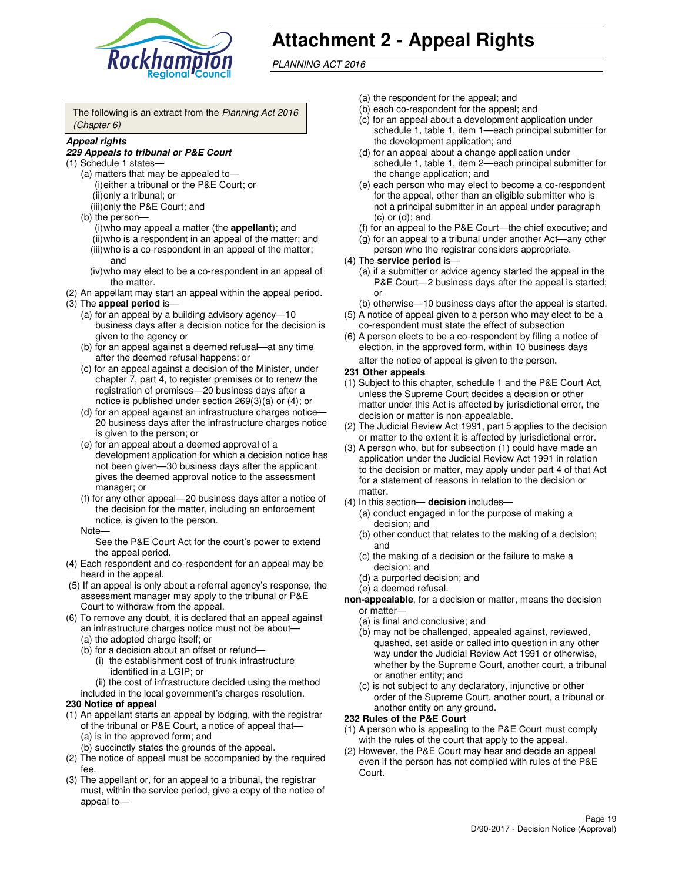

# **Attachment 2 - Appeal Rights**

PLANNING ACT 2016

The following is an extract from the Planning Act 2016 (Chapter 6)

#### **Appeal rights**

#### **229 Appeals to tribunal or P&E Court**

- (1) Schedule 1 states—
	- (a) matters that may be appealed to— (i) either a tribunal or the P&E Court; or (ii) only a tribunal; or (iii) only the P&E Court; and
	- (b) the person—
		- (i) who may appeal a matter (the **appellant**); and
		- (ii) who is a respondent in an appeal of the matter; and (iii) who is a co-respondent in an appeal of the matter; and
		- (iv) who may elect to be a co-respondent in an appeal of the matter.
- (2) An appellant may start an appeal within the appeal period.
- (3) The **appeal period** is—
	- (a) for an appeal by a building advisory agency—10 business days after a decision notice for the decision is given to the agency or
	- (b) for an appeal against a deemed refusal—at any time after the deemed refusal happens; or
	- (c) for an appeal against a decision of the Minister, under chapter 7, part 4, to register premises or to renew the registration of premises—20 business days after a notice is published under section 269(3)(a) or (4); or
	- (d) for an appeal against an infrastructure charges notice— 20 business days after the infrastructure charges notice is given to the person; or
	- (e) for an appeal about a deemed approval of a development application for which a decision notice has not been given—30 business days after the applicant gives the deemed approval notice to the assessment manager; or
	- (f) for any other appeal—20 business days after a notice of the decision for the matter, including an enforcement notice, is given to the person.
	- Note—

See the P&E Court Act for the court's power to extend the appeal period.

- (4) Each respondent and co-respondent for an appeal may be heard in the appeal.
- (5) If an appeal is only about a referral agency's response, the assessment manager may apply to the tribunal or P&E Court to withdraw from the appeal.
- (6) To remove any doubt, it is declared that an appeal against an infrastructure charges notice must not be about—
	- (a) the adopted charge itself; or
	- (b) for a decision about an offset or refund—
		- (i) the establishment cost of trunk infrastructure identified in a LGIP; or
		- (ii) the cost of infrastructure decided using the method
- included in the local government's charges resolution. **230 Notice of appeal**
- (1) An appellant starts an appeal by lodging, with the registrar of the tribunal or P&E Court, a notice of appeal that—
	- (a) is in the approved form; and
	- (b) succinctly states the grounds of the appeal.
- (2) The notice of appeal must be accompanied by the required fee.
- (3) The appellant or, for an appeal to a tribunal, the registrar must, within the service period, give a copy of the notice of appeal to—
- (a) the respondent for the appeal; and
- (b) each co-respondent for the appeal; and
- (c) for an appeal about a development application under schedule 1, table 1, item 1—each principal submitter for the development application; and
- (d) for an appeal about a change application under schedule 1, table 1, item 2—each principal submitter for the change application; and
- (e) each person who may elect to become a co-respondent for the appeal, other than an eligible submitter who is not a principal submitter in an appeal under paragraph  $(c)$  or  $(d)$ ; and
- (f) for an appeal to the P&E Court—the chief executive; and
- (g) for an appeal to a tribunal under another Act—any other person who the registrar considers appropriate.
- (4) The **service period** is—
	- (a) if a submitter or advice agency started the appeal in the P&E Court—2 business days after the appeal is started; or
	- (b) otherwise—10 business days after the appeal is started.
- (5) A notice of appeal given to a person who may elect to be a co-respondent must state the effect of subsection
- (6) A person elects to be a co-respondent by filing a notice of election, in the approved form, within 10 business days after the notice of appeal is given to the person*.*
- **231 Other appeals**
- (1) Subject to this chapter, schedule 1 and the P&E Court Act, unless the Supreme Court decides a decision or other matter under this Act is affected by jurisdictional error, the decision or matter is non-appealable.
- (2) The Judicial Review Act 1991, part 5 applies to the decision or matter to the extent it is affected by jurisdictional error.
- (3) A person who, but for subsection (1) could have made an application under the Judicial Review Act 1991 in relation to the decision or matter, may apply under part 4 of that Act for a statement of reasons in relation to the decision or matter.
- (4) In this section— **decision** includes—
	- (a) conduct engaged in for the purpose of making a decision; and
	- (b) other conduct that relates to the making of a decision; and
	- (c) the making of a decision or the failure to make a decision; and
	- (d) a purported decision; and
	- (e) a deemed refusal.

**non-appealable**, for a decision or matter, means the decision or matter—

- (a) is final and conclusive; and
- (b) may not be challenged, appealed against, reviewed, quashed, set aside or called into question in any other way under the Judicial Review Act 1991 or otherwise, whether by the Supreme Court, another court, a tribunal or another entity; and
- (c) is not subject to any declaratory, injunctive or other order of the Supreme Court, another court, a tribunal or another entity on any ground.

#### **232 Rules of the P&E Court**

- (1) A person who is appealing to the P&E Court must comply with the rules of the court that apply to the appeal.
- (2) However, the P&E Court may hear and decide an appeal even if the person has not complied with rules of the P&E Court.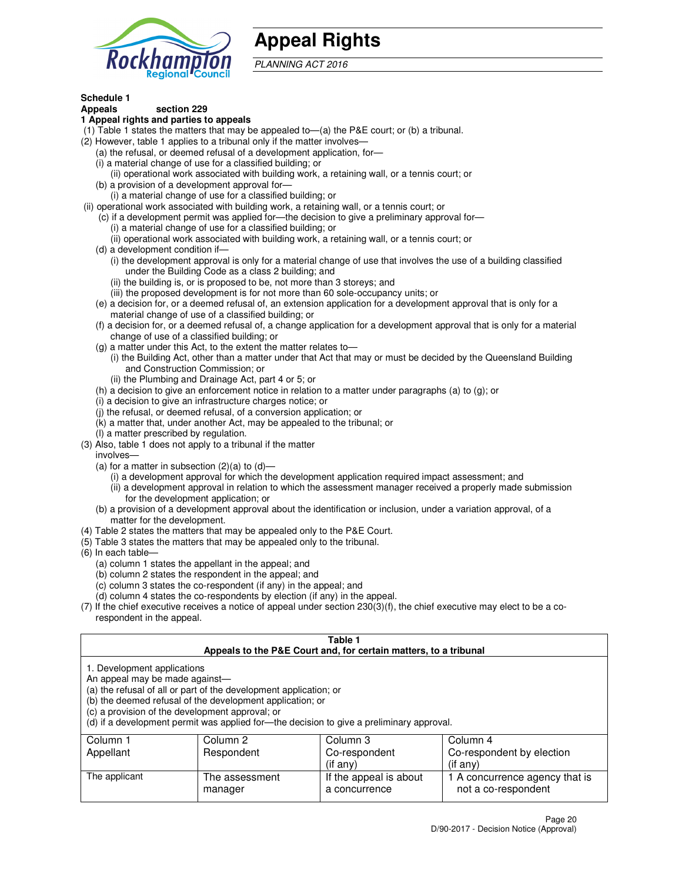

# **Appeal Rights**

PLANNING ACT 2016

# **Schedule 1**

# **Appeals section 229**

- **1 Appeal rights and parties to appeals**
- (1) Table 1 states the matters that may be appealed to—(a) the P&E court; or (b) a tribunal.
- (2) However, table 1 applies to a tribunal only if the matter involves—
	- (a) the refusal, or deemed refusal of a development application, for—
	- (i) a material change of use for a classified building; or
	- (ii) operational work associated with building work, a retaining wall, or a tennis court; or
	- (b) a provision of a development approval for—
	- (i) a material change of use for a classified building; or
- (ii) operational work associated with building work, a retaining wall, or a tennis court; or
	- (c) if a development permit was applied for—the decision to give a preliminary approval for—
		- (i) a material change of use for a classified building; or
		- (ii) operational work associated with building work, a retaining wall, or a tennis court; or
	- (d) a development condition if—
		- (i) the development approval is only for a material change of use that involves the use of a building classified under the Building Code as a class 2 building; and
		- (ii) the building is, or is proposed to be, not more than 3 storeys; and
		- (iii) the proposed development is for not more than 60 sole-occupancy units; or
	- (e) a decision for, or a deemed refusal of, an extension application for a development approval that is only for a material change of use of a classified building; or
	- (f) a decision for, or a deemed refusal of, a change application for a development approval that is only for a material change of use of a classified building; or
	- (g) a matter under this Act, to the extent the matter relates to—
		- (i) the Building Act, other than a matter under that Act that may or must be decided by the Queensland Building and Construction Commission; or
		- (ii) the Plumbing and Drainage Act, part 4 or 5; or
	- (h) a decision to give an enforcement notice in relation to a matter under paragraphs (a) to (g); or
	- (i) a decision to give an infrastructure charges notice; or
	- (j) the refusal, or deemed refusal, of a conversion application; or
	- (k) a matter that, under another Act, may be appealed to the tribunal; or
	- (l) a matter prescribed by regulation.
- (3) Also, table 1 does not apply to a tribunal if the matter
	- involves—
	- (a) for a matter in subsection  $(2)(a)$  to  $(d)$ 
		- (i) a development approval for which the development application required impact assessment; and
		- (ii) a development approval in relation to which the assessment manager received a properly made submission for the development application; or
	- (b) a provision of a development approval about the identification or inclusion, under a variation approval, of a matter for the development.
- (4) Table 2 states the matters that may be appealed only to the P&E Court.
- (5) Table 3 states the matters that may be appealed only to the tribunal.
- (6) In each table—
	- (a) column 1 states the appellant in the appeal; and
	- (b) column 2 states the respondent in the appeal; and
	- (c) column 3 states the co-respondent (if any) in the appeal; and
	- (d) column 4 states the co-respondents by election (if any) in the appeal.
- (7) If the chief executive receives a notice of appeal under section 230(3)(f), the chief executive may elect to be a corespondent in the appeal.

| Table 1<br>Appeals to the P&E Court and, for certain matters, to a tribunal                                      |                                                                                                                                                                                                                            |                        |                                |  |
|------------------------------------------------------------------------------------------------------------------|----------------------------------------------------------------------------------------------------------------------------------------------------------------------------------------------------------------------------|------------------------|--------------------------------|--|
| 1. Development applications<br>An appeal may be made against-<br>(c) a provision of the development approval; or | (a) the refusal of all or part of the development application; or<br>(b) the deemed refusal of the development application; or<br>(d) if a development permit was applied for-the decision to give a preliminary approval. |                        |                                |  |
| Column 1                                                                                                         | Column 2                                                                                                                                                                                                                   | Column 3               | Column 4                       |  |
| Appellant                                                                                                        | Respondent                                                                                                                                                                                                                 | Co-respondent          | Co-respondent by election      |  |
| $($ if any $)$<br>$(if$ any)                                                                                     |                                                                                                                                                                                                                            |                        |                                |  |
| The applicant                                                                                                    | The assessment                                                                                                                                                                                                             | If the appeal is about | 1 A concurrence agency that is |  |
|                                                                                                                  | manager                                                                                                                                                                                                                    | a concurrence          | not a co-respondent            |  |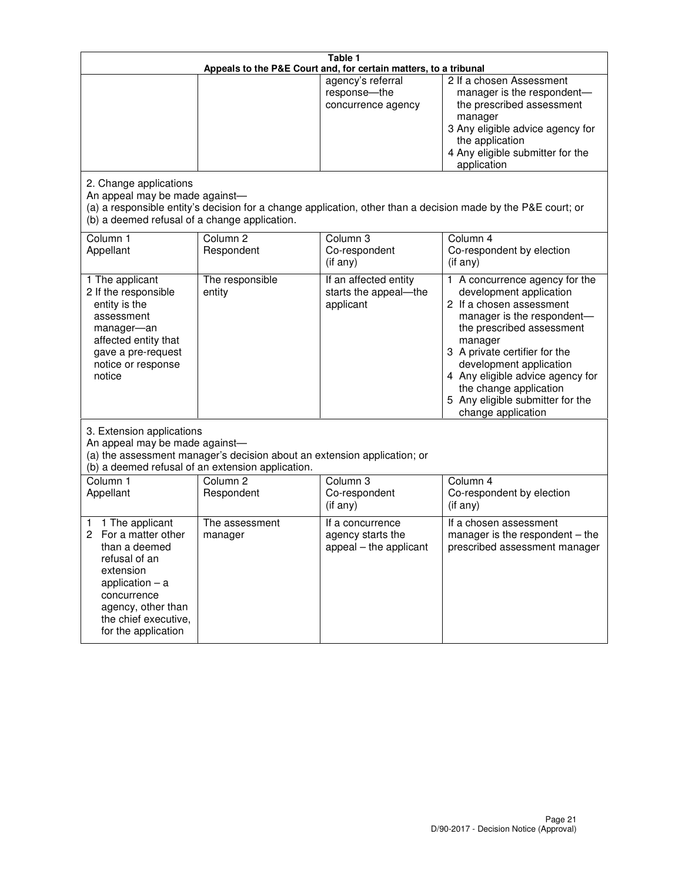|                                                                                                                                                                                                         | Table 1<br>Appeals to the P&E Court and, for certain matters, to a tribunal                                                   |                                                                 |                                                                                                                                                                                                                                                                                                                                                 |  |
|---------------------------------------------------------------------------------------------------------------------------------------------------------------------------------------------------------|-------------------------------------------------------------------------------------------------------------------------------|-----------------------------------------------------------------|-------------------------------------------------------------------------------------------------------------------------------------------------------------------------------------------------------------------------------------------------------------------------------------------------------------------------------------------------|--|
| 2. Change applications                                                                                                                                                                                  |                                                                                                                               | agency's referral<br>response-the<br>concurrence agency         | 2 If a chosen Assessment<br>manager is the respondent-<br>the prescribed assessment<br>manager<br>3 Any eligible advice agency for<br>the application<br>4 Any eligible submitter for the<br>application                                                                                                                                        |  |
| An appeal may be made against-<br>(b) a deemed refusal of a change application.                                                                                                                         |                                                                                                                               |                                                                 | (a) a responsible entity's decision for a change application, other than a decision made by the P&E court; or                                                                                                                                                                                                                                   |  |
| Column 1<br>Appellant                                                                                                                                                                                   | Column <sub>2</sub><br>Respondent                                                                                             | Column 3<br>Co-respondent<br>(if any)                           | Column 4<br>Co-respondent by election<br>(if any)                                                                                                                                                                                                                                                                                               |  |
| 1 The applicant<br>2 If the responsible<br>entity is the<br>assessment<br>manager-an<br>affected entity that<br>gave a pre-request<br>notice or response<br>notice                                      | The responsible<br>entity                                                                                                     | If an affected entity<br>starts the appeal-the<br>applicant     | 1 A concurrence agency for the<br>development application<br>2 If a chosen assessment<br>manager is the respondent-<br>the prescribed assessment<br>manager<br>3 A private certifier for the<br>development application<br>4 Any eligible advice agency for<br>the change application<br>5 Any eligible submitter for the<br>change application |  |
| 3. Extension applications<br>An appeal may be made against-                                                                                                                                             | (a) the assessment manager's decision about an extension application; or<br>(b) a deemed refusal of an extension application. |                                                                 |                                                                                                                                                                                                                                                                                                                                                 |  |
| Column 1<br>Appellant                                                                                                                                                                                   | Column <sub>2</sub><br>Respondent                                                                                             | Column <sub>3</sub><br>Co-respondent<br>(if any)                | Column 4<br>Co-respondent by election<br>(if any)                                                                                                                                                                                                                                                                                               |  |
| 1 The applicant<br>1<br>For a matter other<br>2<br>than a deemed<br>refusal of an<br>extension<br>application $-$ a<br>concurrence<br>agency, other than<br>the chief executive,<br>for the application | The assessment<br>manager                                                                                                     | If a concurrence<br>agency starts the<br>appeal - the applicant | If a chosen assessment<br>manager is the respondent $-$ the<br>prescribed assessment manager                                                                                                                                                                                                                                                    |  |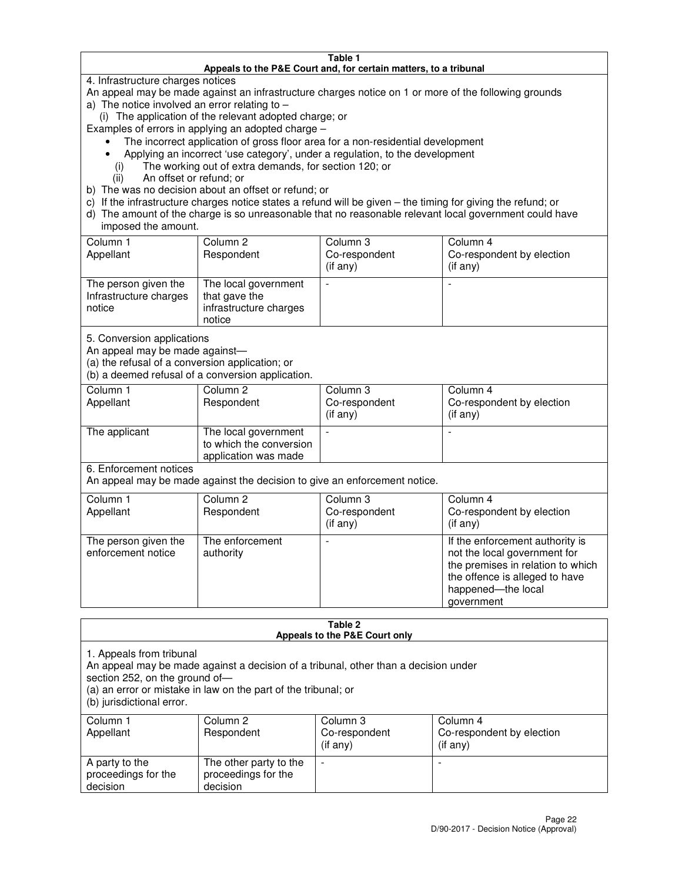#### **Table 1 Appeals to the P&E Court and, for certain matters, to a tribunal**

4. Infrastructure charges notices

An appeal may be made against an infrastructure charges notice on 1 or more of the following grounds

- a) The notice involved an error relating to
	- (i) The application of the relevant adopted charge; or
- Examples of errors in applying an adopted charge
	- The incorrect application of gross floor area for a non-residential development
	- Applying an incorrect 'use category', under a regulation, to the development
		- (i) The working out of extra demands, for section 120; or
		- (ii) An offset or refund; or
- b) The was no decision about an offset or refund; or
- c) If the infrastructure charges notice states a refund will be given the timing for giving the refund; or
- d) The amount of the charge is so unreasonable that no reasonable relevant local government could have imposed the amount.

| Column 1<br>Appellant                                    | Column 2<br>Respondent                                                    | Column 3<br>Co-respondent<br>$($ if any $)$ | Column 4<br>Co-respondent by election<br>$($ if any $)$ |
|----------------------------------------------------------|---------------------------------------------------------------------------|---------------------------------------------|---------------------------------------------------------|
| The person given the<br>Infrastructure charges<br>notice | The local government<br>that gave the<br>infrastructure charges<br>notice |                                             |                                                         |

5. Conversion applications

An appeal may be made against—

(a) the refusal of a conversion application; or

(b) a deemed refusal of a conversion application.

| Column 1<br>Appellant | Column 2<br>Respondent                                                  | Column 3<br>Co-respondent<br>$($ if any $)$ | Column 4<br>Co-respondent by election<br>$($ if any $)$ |
|-----------------------|-------------------------------------------------------------------------|---------------------------------------------|---------------------------------------------------------|
| The applicant         | The local government<br>to which the conversion<br>application was made |                                             |                                                         |

6. Enforcement notices

An appeal may be made against the decision to give an enforcement notice.

| Column 1<br>Appellant                      | Column 2<br>Respondent       | Column 3<br>Co-respondent<br>$($ if any $)$ | Column 4<br>Co-respondent by election<br>(if any)                                                                                                                          |
|--------------------------------------------|------------------------------|---------------------------------------------|----------------------------------------------------------------------------------------------------------------------------------------------------------------------------|
| The person given the<br>enforcement notice | The enforcement<br>authority |                                             | If the enforcement authority is<br>not the local government for<br>the premises in relation to which<br>the offence is alleged to have<br>happened-the local<br>government |

#### **Table 2 Appeals to the P&E Court only**

1. Appeals from tribunal

An appeal may be made against a decision of a tribunal, other than a decision under

section 252, on the ground of—

(a) an error or mistake in law on the part of the tribunal; or

(b) jurisdictional error.

| Column 1<br>Appellant                             | Column 2<br>Respondent                                    | Column 3<br>Co-respondent<br>(if any) | Column 4<br>Co-respondent by election<br>(if any) |
|---------------------------------------------------|-----------------------------------------------------------|---------------------------------------|---------------------------------------------------|
| A party to the<br>proceedings for the<br>decision | The other party to the<br>proceedings for the<br>decision | -                                     |                                                   |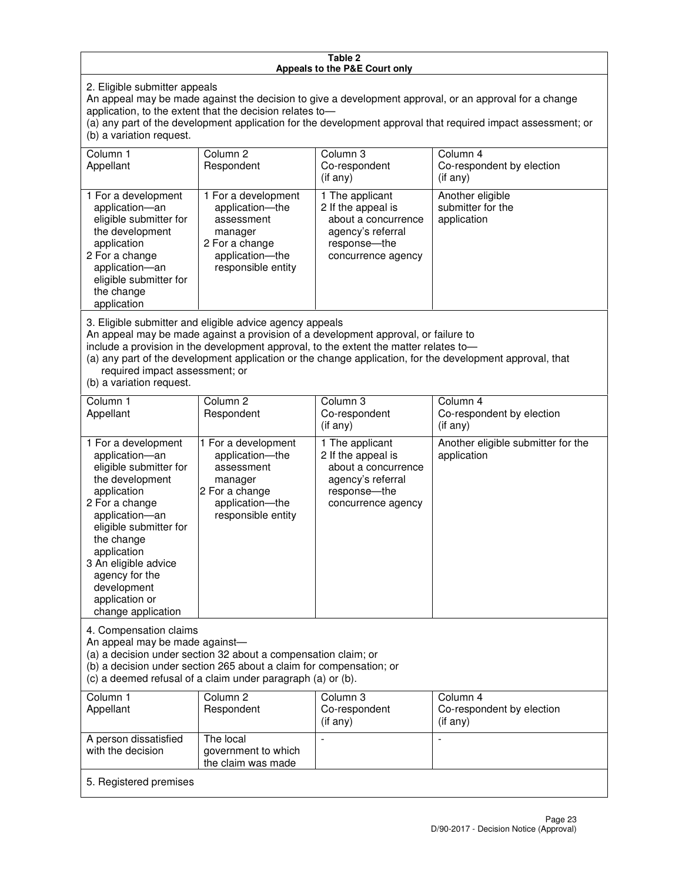#### **Table 2 Appeals to the P&E Court only**

2. Eligible submitter appeals

An appeal may be made against the decision to give a development approval, or an approval for a change application, to the extent that the decision relates to—

(a) any part of the development application for the development approval that required impact assessment; or (b) a variation request.

| Column 1<br>Appellant                                                                                                                                                                                                                                                                                                                                                                                              | Column <sub>2</sub><br>Respondent                                                                                          | Column 3<br>Co-respondent<br>(if any)                                                                                     | Column 4<br>Co-respondent by election<br>(i f any)   |  |
|--------------------------------------------------------------------------------------------------------------------------------------------------------------------------------------------------------------------------------------------------------------------------------------------------------------------------------------------------------------------------------------------------------------------|----------------------------------------------------------------------------------------------------------------------------|---------------------------------------------------------------------------------------------------------------------------|------------------------------------------------------|--|
| 1 For a development<br>application-an<br>eligible submitter for<br>the development<br>application<br>2 For a change<br>application-an<br>eligible submitter for<br>the change<br>application                                                                                                                                                                                                                       | 1 For a development<br>application-the<br>assessment<br>manager<br>2 For a change<br>application-the<br>responsible entity | 1 The applicant<br>2 If the appeal is<br>about a concurrence<br>agency's referral<br>response---the<br>concurrence agency | Another eligible<br>submitter for the<br>application |  |
| 3. Eligible submitter and eligible advice agency appeals<br>An appeal may be made against a provision of a development approval, or failure to<br>include a provision in the development approval, to the extent the matter relates to-<br>(a) any part of the development application or the change application, for the development approval, that<br>required impact assessment; or<br>(b) a variation request. |                                                                                                                            |                                                                                                                           |                                                      |  |
| Column 1<br>Appellant                                                                                                                                                                                                                                                                                                                                                                                              | Column <sub>2</sub><br>Respondent                                                                                          | Column 3<br>Co-respondent<br>(if any)                                                                                     | Column 4<br>Co-respondent by election<br>$(if$ any)  |  |
| 1 For a development<br>application-an<br>eligible submitter for<br>the development                                                                                                                                                                                                                                                                                                                                 | 1 For a development<br>application-the<br>assessment<br>manager                                                            | 1 The applicant<br>2 If the appeal is<br>about a concurrence<br>agency's referral                                         | Another eligible submitter for the<br>application    |  |

response—the concurrence agency

change application 4. Compensation claims

application 2 For a change application—an eligible submitter for

the change application 3 An eligible advice agency for the development application or

An appeal may be made against—

(a) a decision under section 32 about a compensation claim; or

2 For a change application—the responsible entity

(b) a decision under section 265 about a claim for compensation; or

(c) a deemed refusal of a claim under paragraph (a) or (b).

| Column 1<br>Appellant                      | Column 2<br>Respondent                                 | Column 3<br>Co-respondent<br>$($ if any $)$ | Column 4<br>Co-respondent by election<br>(if any) |
|--------------------------------------------|--------------------------------------------------------|---------------------------------------------|---------------------------------------------------|
| A person dissatisfied<br>with the decision | The local<br>government to which<br>the claim was made |                                             |                                                   |
| 5. Registered premises                     |                                                        |                                             |                                                   |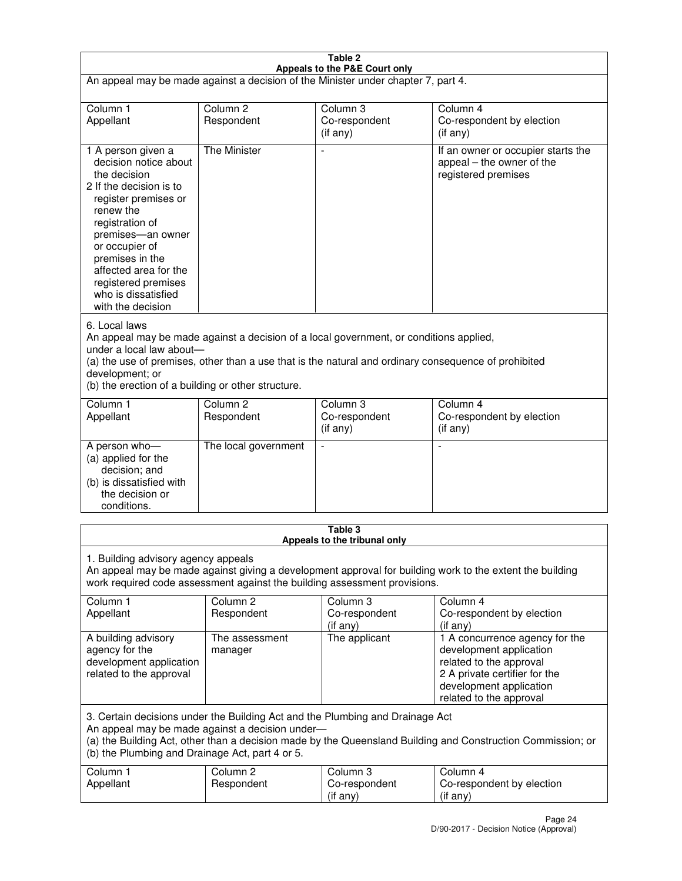| Table 2                                                                                                                                                                                                                                                                                                              |                                   |                                       |                                                                                                                                                                             |  |  |
|----------------------------------------------------------------------------------------------------------------------------------------------------------------------------------------------------------------------------------------------------------------------------------------------------------------------|-----------------------------------|---------------------------------------|-----------------------------------------------------------------------------------------------------------------------------------------------------------------------------|--|--|
| Appeals to the P&E Court only<br>An appeal may be made against a decision of the Minister under chapter 7, part 4.                                                                                                                                                                                                   |                                   |                                       |                                                                                                                                                                             |  |  |
| Column 1                                                                                                                                                                                                                                                                                                             | Column <sub>2</sub>               | Column <sub>3</sub>                   | Column 4                                                                                                                                                                    |  |  |
| Appellant                                                                                                                                                                                                                                                                                                            | Respondent                        | Co-respondent<br>(if any)             | Co-respondent by election<br>(if any)                                                                                                                                       |  |  |
| 1 A person given a<br>decision notice about<br>the decision<br>2 If the decision is to<br>register premises or<br>renew the<br>registration of<br>premises-an owner<br>or occupier of<br>premises in the<br>affected area for the<br>registered premises<br>who is dissatisfied<br>with the decision                 | <b>The Minister</b>               | ÷,                                    | If an owner or occupier starts the<br>appeal – the owner of the<br>registered premises                                                                                      |  |  |
| 6. Local laws<br>An appeal may be made against a decision of a local government, or conditions applied,<br>under a local law about-<br>(a) the use of premises, other than a use that is the natural and ordinary consequence of prohibited<br>development; or<br>(b) the erection of a building or other structure. |                                   |                                       |                                                                                                                                                                             |  |  |
| Column 1<br>Appellant                                                                                                                                                                                                                                                                                                | Column 2<br>Respondent            | Column 3<br>Co-respondent<br>(if any) | Column 4<br>Co-respondent by election<br>(if any)                                                                                                                           |  |  |
| A person who-<br>(a) applied for the<br>decision; and<br>(b) is dissatisfied with<br>the decision or<br>conditions.                                                                                                                                                                                                  | The local government              |                                       |                                                                                                                                                                             |  |  |
| Table 3<br>Appeals to the tribunal only                                                                                                                                                                                                                                                                              |                                   |                                       |                                                                                                                                                                             |  |  |
| 1. Building advisory agency appeals<br>An appeal may be made against giving a development approval for building work to the extent the building<br>work required code assessment against the building assessment provisions.                                                                                         |                                   |                                       |                                                                                                                                                                             |  |  |
| Column 1<br>Appellant                                                                                                                                                                                                                                                                                                | Column <sub>2</sub><br>Respondent | Column 3<br>Co-respondent<br>(if any) | Column 4<br>Co-respondent by election<br>(if any)                                                                                                                           |  |  |
| A building advisory<br>agency for the<br>development application<br>related to the approval                                                                                                                                                                                                                          | The assessment<br>manager         | The applicant                         | 1 A concurrence agency for the<br>development application<br>related to the approval<br>2 A private certifier for the<br>development application<br>related to the approval |  |  |
| 3. Certain decisions under the Building Act and the Plumbing and Drainage Act<br>An appeal may be made against a decision under-<br>(a) the Building Act, other than a decision made by the Queensland Building and Construction Commission; or<br>(b) the Plumbing and Drainage Act, part 4 or 5.                   |                                   |                                       |                                                                                                                                                                             |  |  |
| Column 1<br>Appellant                                                                                                                                                                                                                                                                                                | Column <sub>2</sub><br>Respondent | Column 3<br>Co-respondent<br>(if any) | Column 4<br>Co-respondent by election<br>(if any)                                                                                                                           |  |  |